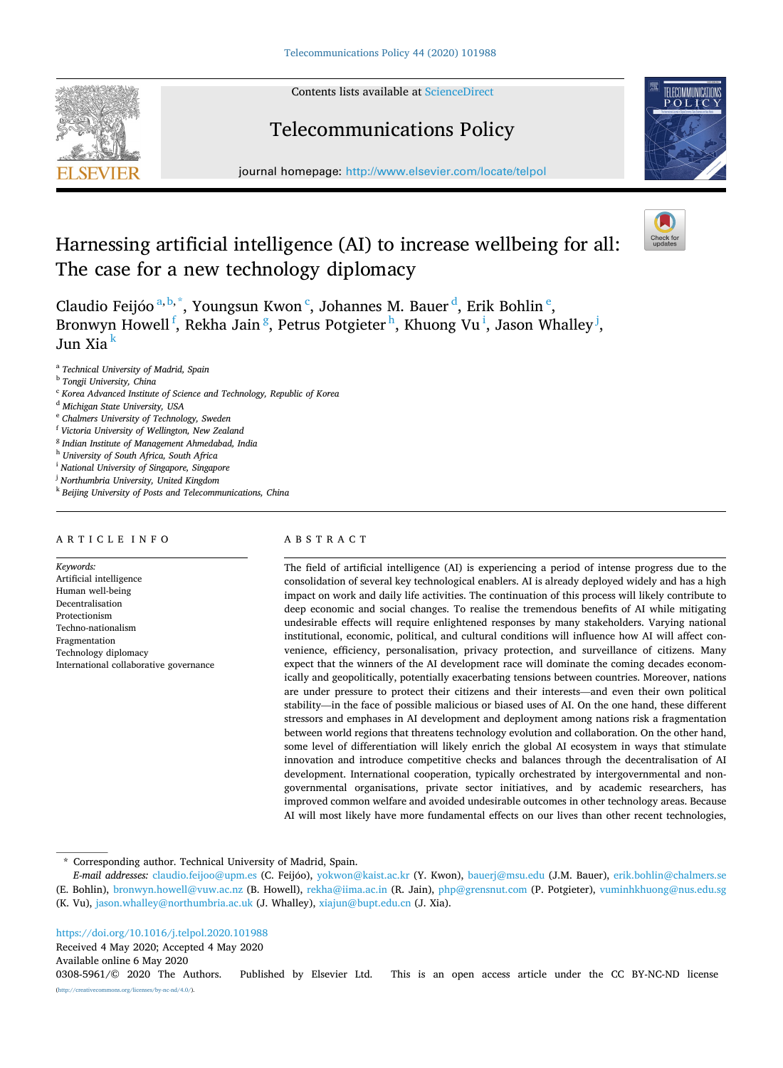Contents lists available at [ScienceDirect](www.sciencedirect.com/science/journal/03085961)



# Telecommunications Policy



## Harnessing artificial intelligence (AI) to increase wellbeing for all: The case for a new technology diplomacy

**ELECOMMUNICATIONS**  $POTIC$ 



Claudio Feijóo<sup>a, b,\*</sup>, Youngsun Kwon<sup>c</sup>, Johannes M. Bauer<sup>d</sup>, Erik Bohlin<sup>e</sup>, Bronwyn Howell <sup>f</sup>, Rekha Jain <sup>g</sup>, Petrus Potgieter <sup>h</sup>, Khuong Vu <sup>i</sup>, Jason Whalley <sup>j</sup>, Jun Xia<sup>k</sup>

<sup>a</sup> *Technical University of Madrid, Spain* 

<sup>c</sup> *Korea Advanced Institute of Science and Technology, Republic of Korea* 

<sup>d</sup> *Michigan State University, USA* 

<sup>e</sup> *Chalmers University of Technology, Sweden* 

<sup>f</sup> *Victoria University of Wellington, New Zealand* 

<sup>g</sup> *Indian Institute of Management Ahmedabad, India* 

<sup>h</sup> *University of South Africa, South Africa* 

<sup>i</sup> *National University of Singapore, Singapore* 

<sup>j</sup> *Northumbria University, United Kingdom* 

<sup>k</sup> *Beijing University of Posts and Telecommunications, China* 

#### ARTICLE INFO

*Keywords:*  Artificial intelligence Human well-being Decentralisation Protectionism Techno-nationalism Fragmentation Technology diplomacy International collaborative governance

#### ABSTRACT

The field of artificial intelligence (AI) is experiencing a period of intense progress due to the consolidation of several key technological enablers. AI is already deployed widely and has a high impact on work and daily life activities. The continuation of this process will likely contribute to deep economic and social changes. To realise the tremendous benefits of AI while mitigating undesirable effects will require enlightened responses by many stakeholders. Varying national institutional, economic, political, and cultural conditions will influence how AI will affect convenience, efficiency, personalisation, privacy protection, and surveillance of citizens. Many expect that the winners of the AI development race will dominate the coming decades economically and geopolitically, potentially exacerbating tensions between countries. Moreover, nations are under pressure to protect their citizens and their interests—and even their own political stability—in the face of possible malicious or biased uses of AI. On the one hand, these different stressors and emphases in AI development and deployment among nations risk a fragmentation between world regions that threatens technology evolution and collaboration. On the other hand, some level of differentiation will likely enrich the global AI ecosystem in ways that stimulate innovation and introduce competitive checks and balances through the decentralisation of AI development. International cooperation, typically orchestrated by intergovernmental and nongovernmental organisations, private sector initiatives, and by academic researchers, has improved common welfare and avoided undesirable outcomes in other technology areas. Because AI will most likely have more fundamental effects on our lives than other recent technologies,

*E-mail addresses:* [claudio.feijoo@upm.es](mailto:claudio.feijoo@upm.es) (C. Feijoo), � [yokwon@kaist.ac.kr](mailto:yokwon@kaist.ac.kr) (Y. Kwon), [bauerj@msu.edu](mailto:bauerj@msu.edu) (J.M. Bauer), [erik.bohlin@chalmers.se](mailto:erik.bohlin@chalmers.se) (E. Bohlin), [bronwyn.howell@vuw.ac.nz](mailto:bronwyn.howell@vuw.ac.nz) (B. Howell), [rekha@iima.ac.in](mailto:rekha@iima.ac.in) (R. Jain), [php@grensnut.com](mailto:php@grensnut.com) (P. Potgieter), [vuminhkhuong@nus.edu.sg](mailto:vuminhkhuong@nus.edu.sg)

<https://doi.org/10.1016/j.telpol.2020.101988>

Received 4 May 2020; Accepted 4 May 2020

Available online 6 May 2020

<sup>b</sup> *Tongji University, China* 

Corresponding author. Technical University of Madrid, Spain.

<sup>(</sup>K. Vu), [jason.whalley@northumbria.ac.uk](mailto:jason.whalley@northumbria.ac.uk) (J. Whalley), [xiajun@bupt.edu.cn](mailto:xiajun@bupt.edu.cn) (J. Xia).

<sup>0308-5961/© 2020</sup> The Authors. Published by Elsevier Ltd. This is an open access article under the CC BY-NC-ND license [\(http://creativecommons.org/licenses/by-nc-nd/4.0/\)](http://creativecommons.org/licenses/by-nc-nd/4.0/).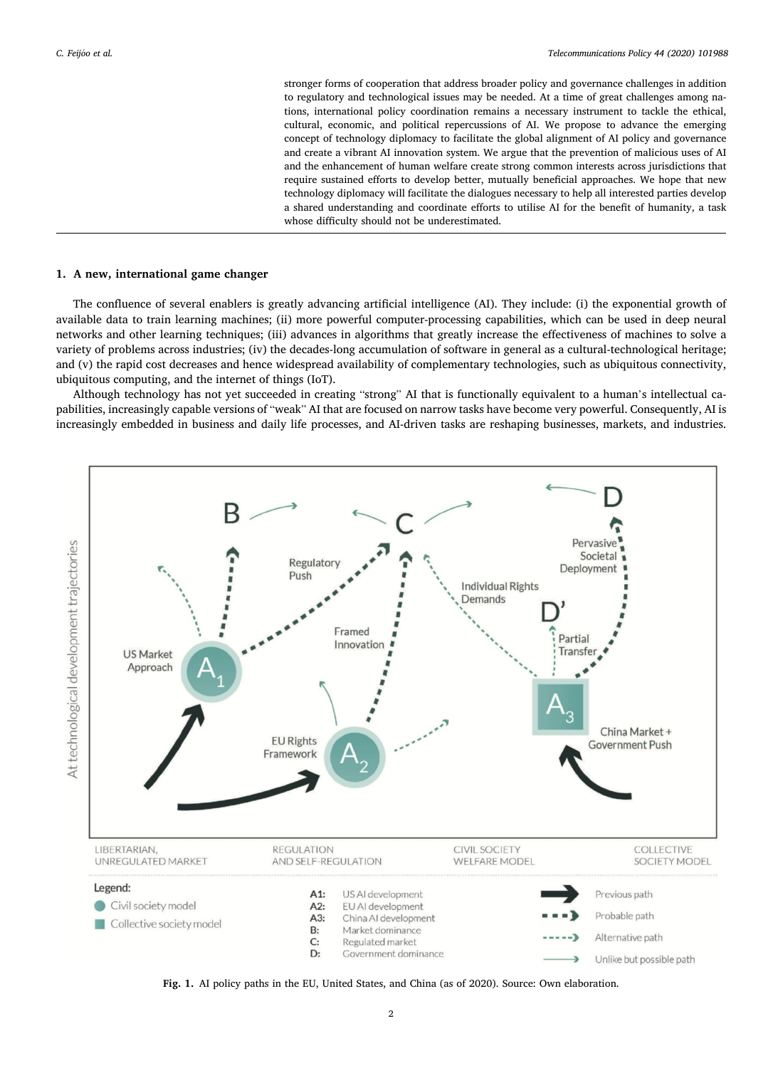stronger forms of cooperation that address broader policy and governance challenges in addition to regulatory and technological issues may be needed. At a time of great challenges among nations, international policy coordination remains a necessary instrument to tackle the ethical, cultural, economic, and political repercussions of AI. We propose to advance the emerging concept of technology diplomacy to facilitate the global alignment of AI policy and governance and create a vibrant AI innovation system. We argue that the prevention of malicious uses of AI and the enhancement of human welfare create strong common interests across jurisdictions that require sustained efforts to develop better, mutually beneficial approaches. We hope that new technology diplomacy will facilitate the dialogues necessary to help all interested parties develop a shared understanding and coordinate efforts to utilise AI for the benefit of humanity, a task whose difficulty should not be underestimated.

## <span id="page-1-0"></span>**1. A new, international game changer**

The confluence of several enablers is greatly advancing artificial intelligence (AI). They include: (i) the exponential growth of available data to train learning machines; (ii) more powerful computer-processing capabilities, which can be used in deep neural networks and other learning techniques; (iii) advances in algorithms that greatly increase the effectiveness of machines to solve a variety of problems across industries; (iv) the decades-long accumulation of software in general as a cultural-technological heritage; and (v) the rapid cost decreases and hence widespread availability of complementary technologies, such as ubiquitous connectivity, ubiquitous computing, and the internet of things (IoT).

Although technology has not yet succeeded in creating "strong" AI that is functionally equivalent to a human's intellectual capabilities, increasingly capable versions of "weak" AI that are focused on narrow tasks have become very powerful. Consequently, AI is increasingly embedded in business and daily life processes, and AI-driven tasks are reshaping businesses, markets, and industries.



**Fig. 1.** AI policy paths in the EU, United States, and China (as of 2020). Source: Own elaboration.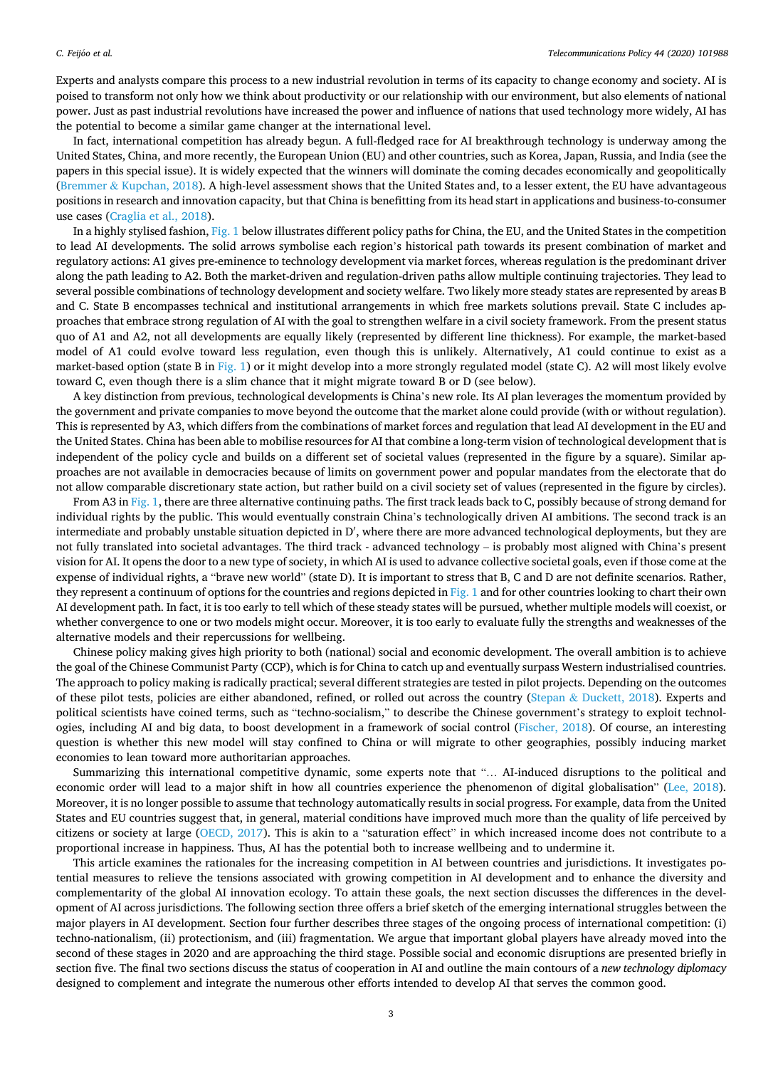Experts and analysts compare this process to a new industrial revolution in terms of its capacity to change economy and society. AI is poised to transform not only how we think about productivity or our relationship with our environment, but also elements of national power. Just as past industrial revolutions have increased the power and influence of nations that used technology more widely, AI has the potential to become a similar game changer at the international level.

In fact, international competition has already begun. A full-fledged race for AI breakthrough technology is underway among the United States, China, and more recently, the European Union (EU) and other countries, such as Korea, Japan, Russia, and India (see the papers in this special issue). It is widely expected that the winners will dominate the coming decades economically and geopolitically (Bremmer & [Kupchan, 2018\)](#page-12-0). A high-level assessment shows that the United States and, to a lesser extent, the EU have advantageous positions in research and innovation capacity, but that China is benefitting from its head start in applications and business-to-consumer use cases [\(Craglia et al., 2018](#page-12-0)).

In a highly stylised fashion, [Fig. 1](#page-1-0) below illustrates different policy paths for China, the EU, and the United States in the competition to lead AI developments. The solid arrows symbolise each region's historical path towards its present combination of market and regulatory actions: A1 gives pre-eminence to technology development via market forces, whereas regulation is the predominant driver along the path leading to A2. Both the market-driven and regulation-driven paths allow multiple continuing trajectories. They lead to several possible combinations of technology development and society welfare. Two likely more steady states are represented by areas B and C. State B encompasses technical and institutional arrangements in which free markets solutions prevail. State C includes approaches that embrace strong regulation of AI with the goal to strengthen welfare in a civil society framework. From the present status quo of A1 and A2, not all developments are equally likely (represented by different line thickness). For example, the market-based model of A1 could evolve toward less regulation, even though this is unlikely. Alternatively, A1 could continue to exist as a market-based option (state B in [Fig. 1](#page-1-0)) or it might develop into a more strongly regulated model (state C). A2 will most likely evolve toward C, even though there is a slim chance that it might migrate toward B or D (see below).

A key distinction from previous, technological developments is China's new role. Its AI plan leverages the momentum provided by the government and private companies to move beyond the outcome that the market alone could provide (with or without regulation). This is represented by A3, which differs from the combinations of market forces and regulation that lead AI development in the EU and the United States. China has been able to mobilise resources for AI that combine a long-term vision of technological development that is independent of the policy cycle and builds on a different set of societal values (represented in the figure by a square). Similar approaches are not available in democracies because of limits on government power and popular mandates from the electorate that do not allow comparable discretionary state action, but rather build on a civil society set of values (represented in the figure by circles).

From A3 in [Fig. 1](#page-1-0), there are three alternative continuing paths. The first track leads back to C, possibly because of strong demand for individual rights by the public. This would eventually constrain China's technologically driven AI ambitions. The second track is an intermediate and probably unstable situation depicted in D', where there are more advanced technological deployments, but they are not fully translated into societal advantages. The third track - advanced technology – is probably most aligned with China's present vision for AI. It opens the door to a new type of society, in which AI is used to advance collective societal goals, even if those come at the expense of individual rights, a "brave new world" (state D). It is important to stress that B, C and D are not definite scenarios. Rather, they represent a continuum of options for the countries and regions depicted in [Fig. 1](#page-1-0) and for other countries looking to chart their own AI development path. In fact, it is too early to tell which of these steady states will be pursued, whether multiple models will coexist, or whether convergence to one or two models might occur. Moreover, it is too early to evaluate fully the strengths and weaknesses of the alternative models and their repercussions for wellbeing.

Chinese policy making gives high priority to both (national) social and economic development. The overall ambition is to achieve the goal of the Chinese Communist Party (CCP), which is for China to catch up and eventually surpass Western industrialised countries. The approach to policy making is radically practical; several different strategies are tested in pilot projects. Depending on the outcomes of these pilot tests, policies are either abandoned, refined, or rolled out across the country (Stepan & [Duckett, 2018](#page-13-0)). Experts and political scientists have coined terms, such as "techno-socialism," to describe the Chinese government's strategy to exploit technologies, including AI and big data, to boost development in a framework of social control ([Fischer, 2018](#page-12-0)). Of course, an interesting question is whether this new model will stay confined to China or will migrate to other geographies, possibly inducing market economies to lean toward more authoritarian approaches.

Summarizing this international competitive dynamic, some experts note that "… AI-induced disruptions to the political and economic order will lead to a major shift in how all countries experience the phenomenon of digital globalisation" ([Lee, 2018](#page-12-0)). Moreover, it is no longer possible to assume that technology automatically results in social progress. For example, data from the United States and EU countries suggest that, in general, material conditions have improved much more than the quality of life perceived by citizens or society at large [\(OECD, 2017](#page-13-0)). This is akin to a "saturation effect" in which increased income does not contribute to a proportional increase in happiness. Thus, AI has the potential both to increase wellbeing and to undermine it.

This article examines the rationales for the increasing competition in AI between countries and jurisdictions. It investigates potential measures to relieve the tensions associated with growing competition in AI development and to enhance the diversity and complementarity of the global AI innovation ecology. To attain these goals, the next section discusses the differences in the development of AI across jurisdictions. The following section three offers a brief sketch of the emerging international struggles between the major players in AI development. Section four further describes three stages of the ongoing process of international competition: (i) techno-nationalism, (ii) protectionism, and (iii) fragmentation. We argue that important global players have already moved into the second of these stages in 2020 and are approaching the third stage. Possible social and economic disruptions are presented briefly in section five. The final two sections discuss the status of cooperation in AI and outline the main contours of a *new technology diplomacy*  designed to complement and integrate the numerous other efforts intended to develop AI that serves the common good.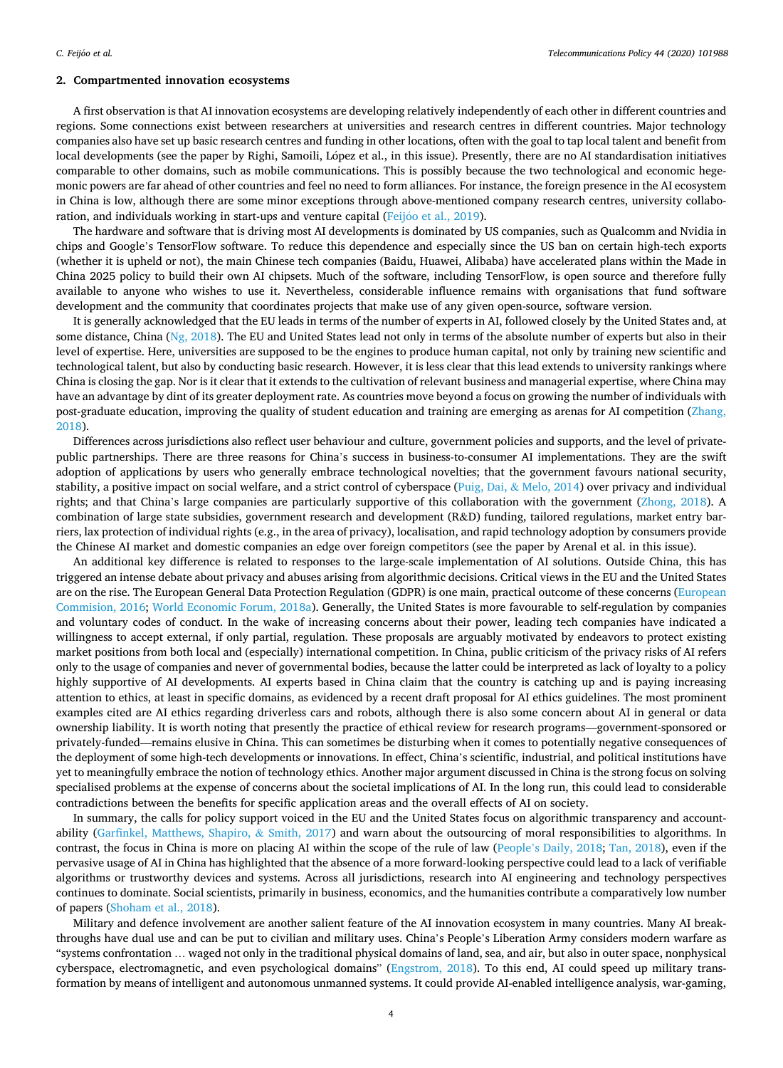#### **2. Compartmented innovation ecosystems**

A first observation is that AI innovation ecosystems are developing relatively independently of each other in different countries and regions. Some connections exist between researchers at universities and research centres in different countries. Major technology companies also have set up basic research centres and funding in other locations, often with the goal to tap local talent and benefit from local developments (see the paper by Righi, Samoili, López et al., in this issue). Presently, there are no AI standardisation initiatives comparable to other domains, such as mobile communications. This is possibly because the two technological and economic hegemonic powers are far ahead of other countries and feel no need to form alliances. For instance, the foreign presence in the AI ecosystem in China is low, although there are some minor exceptions through above-mentioned company research centres, university collaboration, and individuals working in start-ups and venture capital (Feijóo [et al., 2019\)](#page-12-0).

The hardware and software that is driving most AI developments is dominated by US companies, such as Qualcomm and Nvidia in chips and Google's TensorFlow software. To reduce this dependence and especially since the US ban on certain high-tech exports (whether it is upheld or not), the main Chinese tech companies (Baidu, Huawei, Alibaba) have accelerated plans within the Made in China 2025 policy to build their own AI chipsets. Much of the software, including TensorFlow, is open source and therefore fully available to anyone who wishes to use it. Nevertheless, considerable influence remains with organisations that fund software development and the community that coordinates projects that make use of any given open-source, software version.

It is generally acknowledged that the EU leads in terms of the number of experts in AI, followed closely by the United States and, at some distance, China ( $Ng$ , 2018). The EU and United States lead not only in terms of the absolute number of experts but also in their level of expertise. Here, universities are supposed to be the engines to produce human capital, not only by training new scientific and technological talent, but also by conducting basic research. However, it is less clear that this lead extends to university rankings where China is closing the gap. Nor is it clear that it extends to the cultivation of relevant business and managerial expertise, where China may have an advantage by dint of its greater deployment rate. As countries move beyond a focus on growing the number of individuals with post-graduate education, improving the quality of student education and training are emerging as arenas for AI competition [\(Zhang,](#page-13-0) [2018\)](#page-13-0).

Differences across jurisdictions also reflect user behaviour and culture, government policies and supports, and the level of privatepublic partnerships. There are three reasons for China's success in business-to-consumer AI implementations. They are the swift adoption of applications by users who generally embrace technological novelties; that the government favours national security, stability, a positive impact on social welfare, and a strict control of cyberspace (Puig, Dai, & [Melo, 2014](#page-13-0)) over privacy and individual rights; and that China's large companies are particularly supportive of this collaboration with the government ([Zhong, 2018](#page-13-0)). A combination of large state subsidies, government research and development (R&D) funding, tailored regulations, market entry barriers, lax protection of individual rights (e.g., in the area of privacy), localisation, and rapid technology adoption by consumers provide the Chinese AI market and domestic companies an edge over foreign competitors (see the paper by Arenal et al. in this issue).

An additional key difference is related to responses to the large-scale implementation of AI solutions. Outside China, this has triggered an intense debate about privacy and abuses arising from algorithmic decisions. Critical views in the EU and the United States are on the rise. The [European](#page-12-0) General Data Protection Regulation (GDPR) is one main, practical outcome of these concerns (European [Commision, 2016](#page-12-0); [World Economic Forum, 2018a\)](#page-13-0). Generally, the United States is more favourable to self-regulation by companies and voluntary codes of conduct. In the wake of increasing concerns about their power, leading tech companies have indicated a willingness to accept external, if only partial, regulation. These proposals are arguably motivated by endeavors to protect existing market positions from both local and (especially) international competition. In China, public criticism of the privacy risks of AI refers only to the usage of companies and never of governmental bodies, because the latter could be interpreted as lack of loyalty to a policy highly supportive of AI developments. AI experts based in China claim that the country is catching up and is paying increasing attention to ethics, at least in specific domains, as evidenced by a recent draft proposal for AI ethics guidelines. The most prominent examples cited are AI ethics regarding driverless cars and robots, although there is also some concern about AI in general or data ownership liability. It is worth noting that presently the practice of ethical review for research programs—government-sponsored or privately-funded—remains elusive in China. This can sometimes be disturbing when it comes to potentially negative consequences of the deployment of some high-tech developments or innovations. In effect, China's scientific, industrial, and political institutions have yet to meaningfully embrace the notion of technology ethics. Another major argument discussed in China is the strong focus on solving specialised problems at the expense of concerns about the societal implications of AI. In the long run, this could lead to considerable contradictions between the benefits for specific application areas and the overall effects of AI on society.

In summary, the calls for policy support voiced in the EU and the United States focus on algorithmic transparency and account-ability ([Garfinkel, Matthews, Shapiro,](#page-12-0)  $\&$  Smith, 2017) and warn about the outsourcing of moral responsibilities to algorithms. In contrast, the focus in China is more on placing AI within the scope of the rule of law (People'[s Daily, 2018](#page-13-0); [Tan, 2018\)](#page-13-0), even if the pervasive usage of AI in China has highlighted that the absence of a more forward-looking perspective could lead to a lack of verifiable algorithms or trustworthy devices and systems. Across all jurisdictions, research into AI engineering and technology perspectives continues to dominate. Social scientists, primarily in business, economics, and the humanities contribute a comparatively low number of papers ([Shoham et al., 2018\)](#page-13-0).

Military and defence involvement are another salient feature of the AI innovation ecosystem in many countries. Many AI breakthroughs have dual use and can be put to civilian and military uses. China's People's Liberation Army considers modern warfare as "systems confrontation … waged not only in the traditional physical domains of land, sea, and air, but also in outer space, nonphysical cyberspace, electromagnetic, and even psychological domains" ([Engstrom, 2018\)](#page-12-0). To this end, AI could speed up military transformation by means of intelligent and autonomous unmanned systems. It could provide AI-enabled intelligence analysis, war-gaming,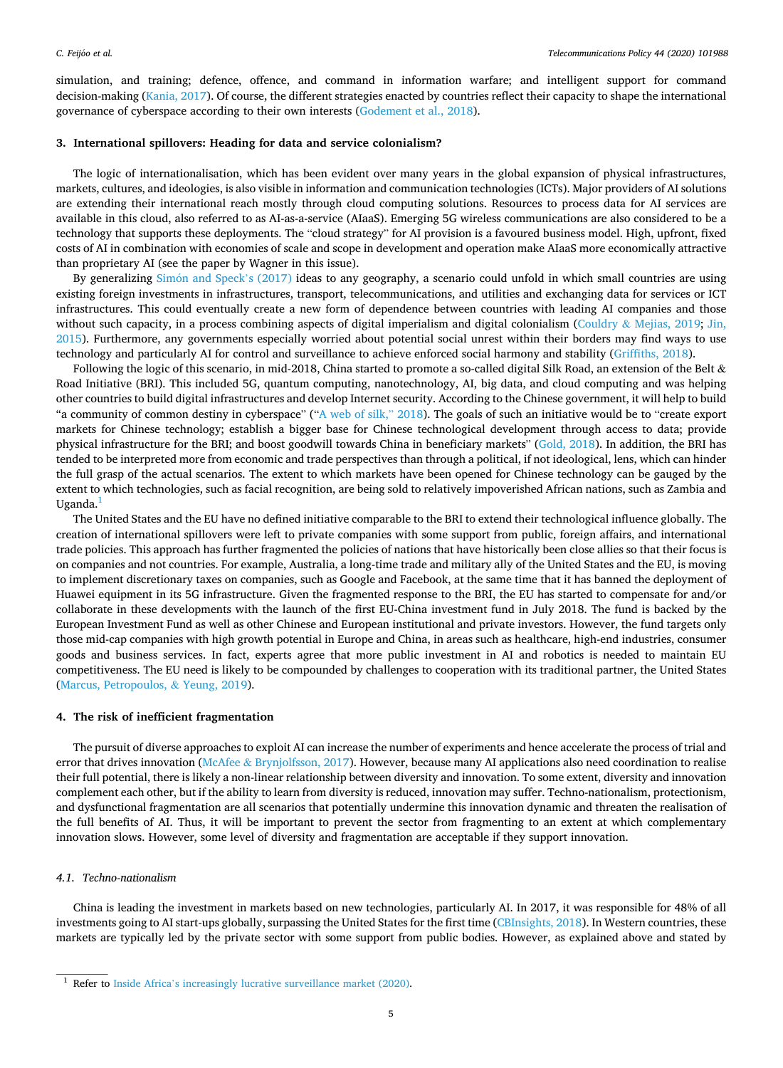simulation, and training; defence, offence, and command in information warfare; and intelligent support for command decision-making ([Kania, 2017\)](#page-12-0). Of course, the different strategies enacted by countries reflect their capacity to shape the international governance of cyberspace according to their own interests [\(Godement et al., 2018](#page-12-0)).

## **3. International spillovers: Heading for data and service colonialism?**

The logic of internationalisation, which has been evident over many years in the global expansion of physical infrastructures, markets, cultures, and ideologies, is also visible in information and communication technologies (ICTs). Major providers of AI solutions are extending their international reach mostly through cloud computing solutions. Resources to process data for AI services are available in this cloud, also referred to as AI-as-a-service (AIaaS). Emerging 5G wireless communications are also considered to be a technology that supports these deployments. The "cloud strategy" for AI provision is a favoured business model. High, upfront, fixed costs of AI in combination with economies of scale and scope in development and operation make AIaaS more economically attractive than proprietary AI (see the paper by Wagner in this issue).

By generalizing Simón [and Speck](#page-13-0)'s (2017) ideas to any geography, a scenario could unfold in which small countries are using existing foreign investments in infrastructures, transport, telecommunications, and utilities and exchanging data for services or ICT infrastructures. This could eventually create a new form of dependence between countries with leading AI companies and those without such capacity, in a process combining aspects of digital imperialism and digital colonialism (Couldry & [Mejias, 2019](#page-12-0); [Jin,](#page-12-0) [2015\)](#page-12-0). Furthermore, any governments especially worried about potential social unrest within their borders may find ways to use technology and particularly AI for control and surveillance to achieve enforced social harmony and stability [\(Griffiths, 2018\)](#page-12-0).

Following the logic of this scenario, in mid-2018, China started to promote a so-called digital Silk Road, an extension of the Belt & Road Initiative (BRI). This included 5G, quantum computing, nanotechnology, AI, big data, and cloud computing and was helping other countries to build digital infrastructures and develop Internet security. According to the Chinese government, it will help to build "a community of common destiny in cyberspace" ("[A web of silk,](#page-12-0)" 2018). The goals of such an initiative would be to "create export markets for Chinese technology; establish a bigger base for Chinese technological development through access to data; provide physical infrastructure for the BRI; and boost goodwill towards China in beneficiary markets" ([Gold, 2018\)](#page-12-0). In addition, the BRI has tended to be interpreted more from economic and trade perspectives than through a political, if not ideological, lens, which can hinder the full grasp of the actual scenarios. The extent to which markets have been opened for Chinese technology can be gauged by the extent to which technologies, such as facial recognition, are being sold to relatively impoverished African nations, such as Zambia and Uganda.

The United States and the EU have no defined initiative comparable to the BRI to extend their technological influence globally. The creation of international spillovers were left to private companies with some support from public, foreign affairs, and international trade policies. This approach has further fragmented the policies of nations that have historically been close allies so that their focus is on companies and not countries. For example, Australia, a long-time trade and military ally of the United States and the EU, is moving to implement discretionary taxes on companies, such as Google and Facebook, at the same time that it has banned the deployment of Huawei equipment in its 5G infrastructure. Given the fragmented response to the BRI, the EU has started to compensate for and/or collaborate in these developments with the launch of the first EU-China investment fund in July 2018. The fund is backed by the European Investment Fund as well as other Chinese and European institutional and private investors. However, the fund targets only those mid-cap companies with high growth potential in Europe and China, in areas such as healthcare, high-end industries, consumer goods and business services. In fact, experts agree that more public investment in AI and robotics is needed to maintain EU competitiveness. The EU need is likely to be compounded by challenges to cooperation with its traditional partner, the United States [\(Marcus, Petropoulos,](#page-13-0) & Yeung, 2019).

#### **4. The risk of inefficient fragmentation**

The pursuit of diverse approaches to exploit AI can increase the number of experiments and hence accelerate the process of trial and error that drives innovation (McAfee & [Brynjolfsson, 2017](#page-13-0)). However, because many AI applications also need coordination to realise their full potential, there is likely a non-linear relationship between diversity and innovation. To some extent, diversity and innovation complement each other, but if the ability to learn from diversity is reduced, innovation may suffer. Techno-nationalism, protectionism, and dysfunctional fragmentation are all scenarios that potentially undermine this innovation dynamic and threaten the realisation of the full benefits of AI. Thus, it will be important to prevent the sector from fragmenting to an extent at which complementary innovation slows. However, some level of diversity and fragmentation are acceptable if they support innovation.

#### *4.1. Techno-nationalism*

China is leading the investment in markets based on new technologies, particularly AI. In 2017, it was responsible for 48% of all investments going to AI start-ups globally, surpassing the United States for the first time ([CBInsights, 2018\)](#page-12-0). In Western countries, these markets are typically led by the private sector with some support from public bodies. However, as explained above and stated by

<sup>&</sup>lt;sup>1</sup> Refer to Inside Africa'[s increasingly lucrative surveillance market \(2020\).](#page-12-0)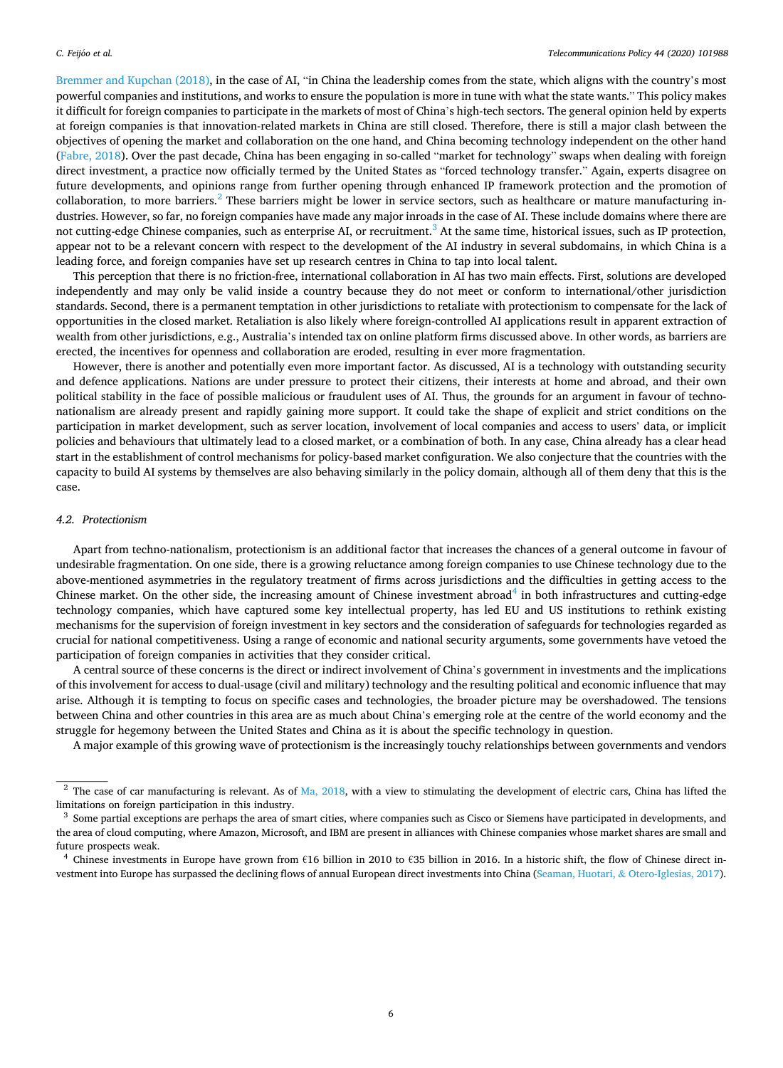[Bremmer and Kupchan \(2018\),](#page-12-0) in the case of AI, "in China the leadership comes from the state, which aligns with the country's most powerful companies and institutions, and works to ensure the population is more in tune with what the state wants." This policy makes it difficult for foreign companies to participate in the markets of most of China's high-tech sectors. The general opinion held by experts at foreign companies is that innovation-related markets in China are still closed. Therefore, there is still a major clash between the objectives of opening the market and collaboration on the one hand, and China becoming technology independent on the other hand [\(Fabre, 2018](#page-12-0)). Over the past decade, China has been engaging in so-called "market for technology" swaps when dealing with foreign direct investment, a practice now officially termed by the United States as "forced technology transfer." Again, experts disagree on future developments, and opinions range from further opening through enhanced IP framework protection and the promotion of collaboration, to more barriers.<sup>2</sup> These barriers might be lower in service sectors, such as healthcare or mature manufacturing industries. However, so far, no foreign companies have made any major inroads in the case of AI. These include domains where there are not cutting-edge Chinese companies, such as enterprise AI, or recruitment.<sup>3</sup> At the same time, historical issues, such as IP protection, appear not to be a relevant concern with respect to the development of the AI industry in several subdomains, in which China is a leading force, and foreign companies have set up research centres in China to tap into local talent.

This perception that there is no friction-free, international collaboration in AI has two main effects. First, solutions are developed independently and may only be valid inside a country because they do not meet or conform to international/other jurisdiction standards. Second, there is a permanent temptation in other jurisdictions to retaliate with protectionism to compensate for the lack of opportunities in the closed market. Retaliation is also likely where foreign-controlled AI applications result in apparent extraction of wealth from other jurisdictions, e.g., Australia's intended tax on online platform firms discussed above. In other words, as barriers are erected, the incentives for openness and collaboration are eroded, resulting in ever more fragmentation.

However, there is another and potentially even more important factor. As discussed, AI is a technology with outstanding security and defence applications. Nations are under pressure to protect their citizens, their interests at home and abroad, and their own political stability in the face of possible malicious or fraudulent uses of AI. Thus, the grounds for an argument in favour of technonationalism are already present and rapidly gaining more support. It could take the shape of explicit and strict conditions on the participation in market development, such as server location, involvement of local companies and access to users' data, or implicit policies and behaviours that ultimately lead to a closed market, or a combination of both. In any case, China already has a clear head start in the establishment of control mechanisms for policy-based market configuration. We also conjecture that the countries with the capacity to build AI systems by themselves are also behaving similarly in the policy domain, although all of them deny that this is the case.

#### *4.2. Protectionism*

Apart from techno-nationalism, protectionism is an additional factor that increases the chances of a general outcome in favour of undesirable fragmentation. On one side, there is a growing reluctance among foreign companies to use Chinese technology due to the above-mentioned asymmetries in the regulatory treatment of firms across jurisdictions and the difficulties in getting access to the Chinese market. On the other side, the increasing amount of Chinese investment abroad<sup>4</sup> in both infrastructures and cutting-edge technology companies, which have captured some key intellectual property, has led EU and US institutions to rethink existing mechanisms for the supervision of foreign investment in key sectors and the consideration of safeguards for technologies regarded as crucial for national competitiveness. Using a range of economic and national security arguments, some governments have vetoed the participation of foreign companies in activities that they consider critical.

A central source of these concerns is the direct or indirect involvement of China's government in investments and the implications of this involvement for access to dual-usage (civil and military) technology and the resulting political and economic influence that may arise. Although it is tempting to focus on specific cases and technologies, the broader picture may be overshadowed. The tensions between China and other countries in this area are as much about China's emerging role at the centre of the world economy and the struggle for hegemony between the United States and China as it is about the specific technology in question.

A major example of this growing wave of protectionism is the increasingly touchy relationships between governments and vendors

The case of car manufacturing is relevant. As of [Ma, 2018](#page-12-0), with a view to stimulating the development of electric cars, China has lifted the limitations on foreign participation in this industry.<br><sup>3</sup> Some partial exceptions are perhaps the area of smart cities, where companies such as Cisco or Siemens have participated in developments, and

the area of cloud computing, where Amazon, Microsoft, and IBM are present in alliances with Chinese companies whose market shares are small and future prospects weak. 4 Chinese investments in Europe have grown from €16 billion in 2010 to €35 billion in 2016. In a historic shift, the flow of Chinese direct in-

vestment into Europe has surpassed the declining flows of annual European direct investments into China (Seaman, Huotari, & [Otero-Iglesias, 2017\)](#page-13-0).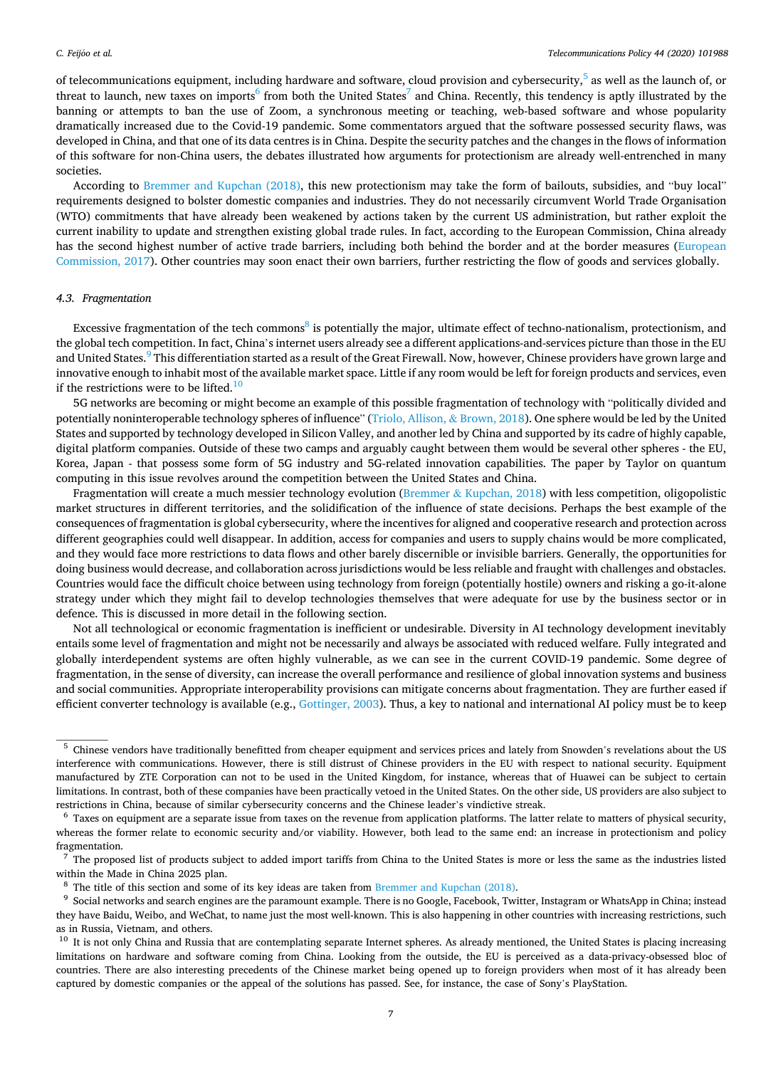of telecommunications equipment, including hardware and software, cloud provision and cybersecurity,<sup>5</sup> as well as the launch of, or threat to launch, new taxes on imports<sup>6</sup> from both the United States<sup>7</sup> and China. Recently, this tendency is aptly illustrated by the banning or attempts to ban the use of Zoom, a synchronous meeting or teaching, web-based software and whose popularity dramatically increased due to the Covid-19 pandemic. Some commentators argued that the software possessed security flaws, was developed in China, and that one of its data centres is in China. Despite the security patches and the changes in the flows of information of this software for non-China users, the debates illustrated how arguments for protectionism are already well-entrenched in many societies.

According to [Bremmer and Kupchan \(2018\)](#page-12-0), this new protectionism may take the form of bailouts, subsidies, and "buy local" requirements designed to bolster domestic companies and industries. They do not necessarily circumvent World Trade Organisation (WTO) commitments that have already been weakened by actions taken by the current US administration, but rather exploit the current inability to update and strengthen existing global trade rules. In fact, according to the European Commission, China already has the second highest number of active trade barriers, including both behind the border and at the border measures ([European](#page-12-0) [Commission, 2017](#page-12-0)). Other countries may soon enact their own barriers, further restricting the flow of goods and services globally.

#### *4.3. Fragmentation*

Excessive fragmentation of the tech commons<sup>8</sup> is potentially the major, ultimate effect of techno-nationalism, protectionism, and the global tech competition. In fact, China's internet users already see a different applications-and-services picture than those in the EU and United States.<sup>9</sup> This differentiation started as a result of the Great Firewall. Now, however, Chinese providers have grown large and innovative enough to inhabit most of the available market space. Little if any room would be left for foreign products and services, even if the restrictions were to be lifted. $10$ 

5G networks are becoming or might become an example of this possible fragmentation of technology with "politically divided and potentially noninteroperable technology spheres of influence" ([Triolo, Allison,](#page-13-0) & Brown, 2018). One sphere would be led by the United States and supported by technology developed in Silicon Valley, and another led by China and supported by its cadre of highly capable, digital platform companies. Outside of these two camps and arguably caught between them would be several other spheres - the EU, Korea, Japan - that possess some form of 5G industry and 5G-related innovation capabilities. The paper by Taylor on quantum computing in this issue revolves around the competition between the United States and China.

Fragmentation will create a much messier technology evolution (Bremmer & [Kupchan, 2018\)](#page-12-0) with less competition, oligopolistic market structures in different territories, and the solidification of the influence of state decisions. Perhaps the best example of the consequences of fragmentation is global cybersecurity, where the incentives for aligned and cooperative research and protection across different geographies could well disappear. In addition, access for companies and users to supply chains would be more complicated, and they would face more restrictions to data flows and other barely discernible or invisible barriers. Generally, the opportunities for doing business would decrease, and collaboration across jurisdictions would be less reliable and fraught with challenges and obstacles. Countries would face the difficult choice between using technology from foreign (potentially hostile) owners and risking a go-it-alone strategy under which they might fail to develop technologies themselves that were adequate for use by the business sector or in defence. This is discussed in more detail in the following section.

Not all technological or economic fragmentation is inefficient or undesirable. Diversity in AI technology development inevitably entails some level of fragmentation and might not be necessarily and always be associated with reduced welfare. Fully integrated and globally interdependent systems are often highly vulnerable, as we can see in the current COVID-19 pandemic. Some degree of fragmentation, in the sense of diversity, can increase the overall performance and resilience of global innovation systems and business and social communities. Appropriate interoperability provisions can mitigate concerns about fragmentation. They are further eased if efficient converter technology is available (e.g., [Gottinger, 2003\)](#page-12-0). Thus, a key to national and international AI policy must be to keep

<sup>&</sup>lt;sup>5</sup> Chinese vendors have traditionally benefitted from cheaper equipment and services prices and lately from Snowden's revelations about the US interference with communications. However, there is still distrust of Chinese providers in the EU with respect to national security. Equipment manufactured by ZTE Corporation can not to be used in the United Kingdom, for instance, whereas that of Huawei can be subject to certain limitations. In contrast, both of these companies have been practically vetoed in the United States. On the other side, US providers are also subject to restrictions in China, because of similar cybersecurity concerns and the Chinese leader's vindictive streak.<br><sup>6</sup> Taxes on equipment are a separate issue from taxes on the revenue from application platforms. The latter rela

whereas the former relate to economic security and/or viability. However, both lead to the same end: an increase in protectionism and policy fragmentation.

 $7$  The proposed list of products subject to added import tariffs from China to the United States is more or less the same as the industries listed

within the Made in China 2025 plan.<br><sup>8</sup> The title of this section and some of its key ideas are taken from [Bremmer and Kupchan \(2018\).](#page-12-0)<br><sup>9</sup> Social networks and search engines are the paramount example. There is no Google, they have Baidu, Weibo, and WeChat, to name just the most well-known. This is also happening in other countries with increasing restrictions, such as in Russia, Vietnam, and others.<br><sup>10</sup> It is not only China and Russia that are contemplating separate Internet spheres. As already mentioned, the United States is placing increasing

limitations on hardware and software coming from China. Looking from the outside, the EU is perceived as a data-privacy-obsessed bloc of countries. There are also interesting precedents of the Chinese market being opened up to foreign providers when most of it has already been captured by domestic companies or the appeal of the solutions has passed. See, for instance, the case of Sony's PlayStation.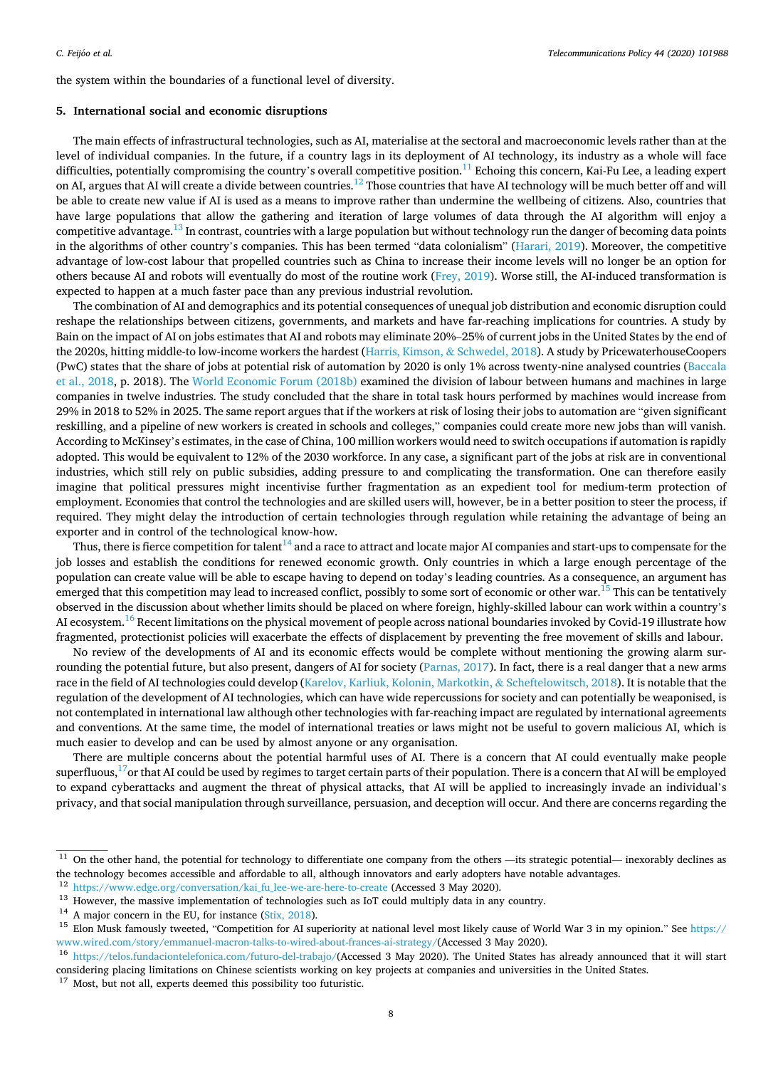the system within the boundaries of a functional level of diversity.

#### **5. International social and economic disruptions**

The main effects of infrastructural technologies, such as AI, materialise at the sectoral and macroeconomic levels rather than at the level of individual companies. In the future, if a country lags in its deployment of AI technology, its industry as a whole will face difficulties, potentially compromising the country's overall competitive position.<sup>11</sup> Echoing this concern, Kai-Fu Lee, a leading expert on AI, argues that AI will create a divide between countries.<sup>12</sup> Those countries that have AI technology will be much better off and will be able to create new value if AI is used as a means to improve rather than undermine the wellbeing of citizens. Also, countries that have large populations that allow the gathering and iteration of large volumes of data through the AI algorithm will enjoy a competitive advantage.<sup>13</sup> In contrast, countries with a large population but without technology run the danger of becoming data points in the algorithms of other country's companies. This has been termed "data colonialism" ([Harari, 2019\)](#page-12-0). Moreover, the competitive advantage of low-cost labour that propelled countries such as China to increase their income levels will no longer be an option for others because AI and robots will eventually do most of the routine work ([Frey, 2019\)](#page-12-0). Worse still, the AI-induced transformation is expected to happen at a much faster pace than any previous industrial revolution.

The combination of AI and demographics and its potential consequences of unequal job distribution and economic disruption could reshape the relationships between citizens, governments, and markets and have far-reaching implications for countries. A study by Bain on the impact of AI on jobs estimates that AI and robots may eliminate 20%–25% of current jobs in the United States by the end of the 2020s, hitting middle-to low-income workers the hardest [\(Harris, Kimson,](#page-12-0) & Schwedel, 2018). A study by PricewaterhouseCoopers (PwC) states that the share of jobs at potential risk of automation by 2020 is only 1% across twenty-nine analysed countries [\(Baccala](#page-12-0) [et al., 2018](#page-12-0), p. 2018). The [World Economic Forum \(2018b\)](#page-13-0) examined the division of labour between humans and machines in large companies in twelve industries. The study concluded that the share in total task hours performed by machines would increase from 29% in 2018 to 52% in 2025. The same report argues that if the workers at risk of losing their jobs to automation are "given significant reskilling, and a pipeline of new workers is created in schools and colleges," companies could create more new jobs than will vanish. According to McKinsey's estimates, in the case of China, 100 million workers would need to switch occupations if automation is rapidly adopted. This would be equivalent to 12% of the 2030 workforce. In any case, a significant part of the jobs at risk are in conventional industries, which still rely on public subsidies, adding pressure to and complicating the transformation. One can therefore easily imagine that political pressures might incentivise further fragmentation as an expedient tool for medium-term protection of employment. Economies that control the technologies and are skilled users will, however, be in a better position to steer the process, if required. They might delay the introduction of certain technologies through regulation while retaining the advantage of being an exporter and in control of the technological know-how.

Thus, there is fierce competition for talent<sup>14</sup> and a race to attract and locate major AI companies and start-ups to compensate for the job losses and establish the conditions for renewed economic growth. Only countries in which a large enough percentage of the population can create value will be able to escape having to depend on today's leading countries. As a consequence, an argument has emerged that this competition may lead to increased conflict, possibly to some sort of economic or other war.<sup>15</sup> This can be tentatively observed in the discussion about whether limits should be placed on where foreign, highly-skilled labour can work within a country's AI ecosystem.<sup>16</sup> Recent limitations on the physical movement of people across national boundaries invoked by Covid-19 illustrate how fragmented, protectionist policies will exacerbate the effects of displacement by preventing the free movement of skills and labour.

No review of the developments of AI and its economic effects would be complete without mentioning the growing alarm sur-rounding the potential future, but also present, dangers of AI for society ([Parnas, 2017](#page-13-0)). In fact, there is a real danger that a new arms race in the field of AI technologies could develop ([Karelov, Karliuk, Kolonin, Markotkin,](#page-12-0) & Scheftelowitsch, 2018). It is notable that the regulation of the development of AI technologies, which can have wide repercussions for society and can potentially be weaponised, is not contemplated in international law although other technologies with far-reaching impact are regulated by international agreements and conventions. At the same time, the model of international treaties or laws might not be useful to govern malicious AI, which is much easier to develop and can be used by almost anyone or any organisation.

There are multiple concerns about the potential harmful uses of AI. There is a concern that AI could eventually make people superfluous, $17$  or that AI could be used by regimes to target certain parts of their population. There is a concern that AI will be employed to expand cyberattacks and augment the threat of physical attacks, that AI will be applied to increasingly invade an individual's privacy, and that social manipulation through surveillance, persuasion, and deception will occur. And there are concerns regarding the

 $11$  On the other hand, the potential for technology to differentiate one company from the others —its strategic potential— inexorably declines as the technology becomes accessible and affordable to all, although innovators and early adopters have notable advantages.<br><sup>12</sup> [https://www.edge.org/conversation/kai\\_fu\\_lee-we-are-here-to-create](https://www.edge.org/conversation/kai_fu_lee-we-are-here-to-create) (Accessed 3 May 2020).<br><sup>13</sup> H

[www.wired.com/story/emmanuel-macron-talks-to-wired-about-frances-ai-strategy/](https://www.wired.com/story/emmanuel-macron-talks-to-wired-about-frances-ai-strategy/)(Accessed 3 May 2020).<br><sup>16</sup> <https://telos.fundaciontelefonica.com/futuro-del-trabajo/>(Accessed 3 May 2020). The United States has already announc considering placing limitations on Chinese scientists working on key projects at companies and universities in the United States. 17 Most, but not all, experts deemed this possibility too futuristic.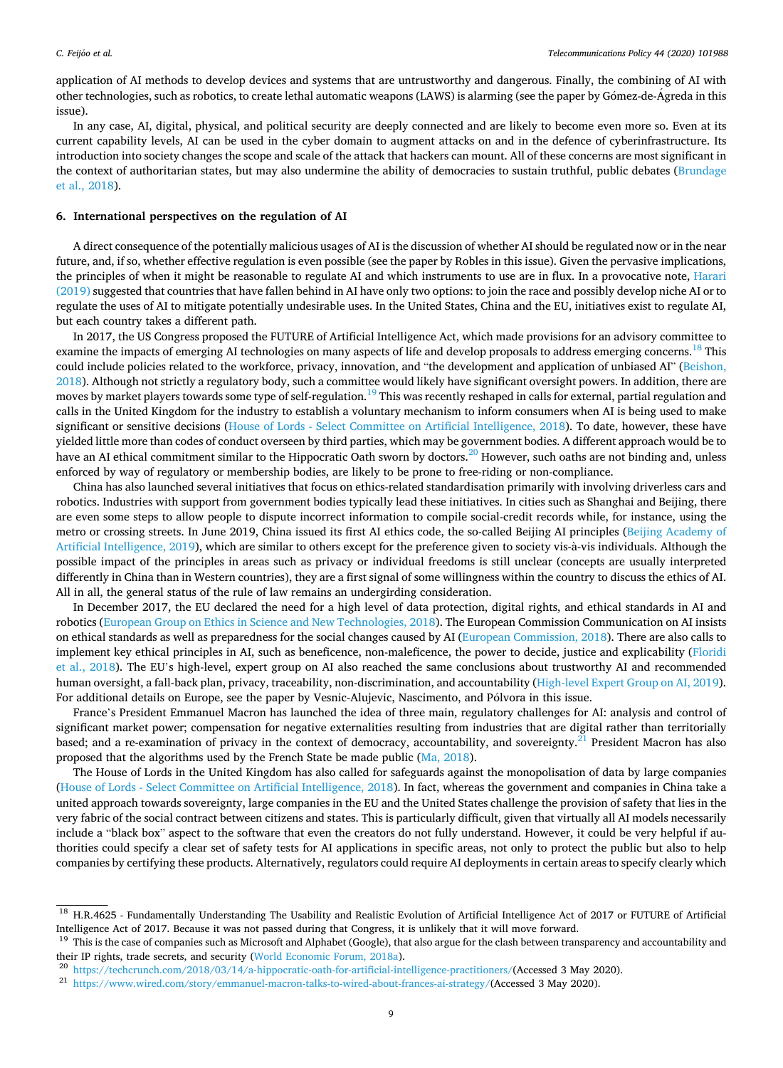application of AI methods to develop devices and systems that are untrustworthy and dangerous. Finally, the combining of AI with other technologies, such as robotics, to create lethal automatic weapons (LAWS) is alarming (see the paper by Gómez-de-Agreda in this issue).

In any case, AI, digital, physical, and political security are deeply connected and are likely to become even more so. Even at its current capability levels, AI can be used in the cyber domain to augment attacks on and in the defence of cyberinfrastructure. Its introduction into society changes the scope and scale of the attack that hackers can mount. All of these concerns are most significant in the context of authoritarian states, but may also undermine the ability of democracies to sustain truthful, public debates ([Brundage](#page-12-0)) [et al., 2018](#page-12-0)).

## **6. International perspectives on the regulation of AI**

A direct consequence of the potentially malicious usages of AI is the discussion of whether AI should be regulated now or in the near future, and, if so, whether effective regulation is even possible (see the paper by Robles in this issue). Given the pervasive implications, the principles of when it might be reasonable to regulate AI and which instruments to use are in flux. In a provocative note, [Harari](#page-12-0) [\(2019\)](#page-12-0) suggested that countries that have fallen behind in AI have only two options: to join the race and possibly develop niche AI or to regulate the uses of AI to mitigate potentially undesirable uses. In the United States, China and the EU, initiatives exist to regulate AI, but each country takes a different path.

In 2017, the US Congress proposed the FUTURE of Artificial Intelligence Act, which made provisions for an advisory committee to examine the impacts of emerging AI technologies on many aspects of life and develop proposals to address emerging concerns.<sup>18</sup> This could include policies related to the workforce, privacy, innovation, and "the development and application of unbiased AI" [\(Beishon,](#page-12-0) [2018\)](#page-12-0). Although not strictly a regulatory body, such a committee would likely have significant oversight powers. In addition, there are moves by market players towards some type of self-regulation.<sup>19</sup> This was recently reshaped in calls for external, partial regulation and calls in the United Kingdom for the industry to establish a voluntary mechanism to inform consumers when AI is being used to make significant or sensitive decisions ([House of Lords - Select Committee on Artificial Intelligence, 2018](#page-12-0)). To date, however, these have yielded little more than codes of conduct overseen by third parties, which may be government bodies. A different approach would be to have an AI ethical commitment similar to the Hippocratic Oath sworn by doctors.<sup>20</sup> However, such oaths are not binding and, unless enforced by way of regulatory or membership bodies, are likely to be prone to free-riding or non-compliance.

China has also launched several initiatives that focus on ethics-related standardisation primarily with involving driverless cars and robotics. Industries with support from government bodies typically lead these initiatives. In cities such as Shanghai and Beijing, there are even some steps to allow people to dispute incorrect information to compile social-credit records while, for instance, using the metro or crossing streets. In June 2019, China issued its first AI ethics code, the so-called Beijing AI principles [\(Beijing Academy of](#page-12-0) [Artificial Intelligence, 2019\)](#page-12-0), which are similar to others except for the preference given to society vis-à-vis individuals. Although the possible impact of the principles in areas such as privacy or individual freedoms is still unclear (concepts are usually interpreted differently in China than in Western countries), they are a first signal of some willingness within the country to discuss the ethics of AI. All in all, the general status of the rule of law remains an undergirding consideration.

In December 2017, the EU declared the need for a high level of data protection, digital rights, and ethical standards in AI and robotics [\(European Group on Ethics in Science and New Technologies, 2018\)](#page-12-0). The European Commission Communication on AI insists on ethical standards as well as preparedness for the social changes caused by AI ([European Commission, 2018](#page-12-0)). There are also calls to implement key ethical principles in AI, such as beneficence, non-maleficence, the power to decide, justice and explicability ([Floridi](#page-12-0) [et al., 2018](#page-12-0)). The EU's high-level, expert group on AI also reached the same conclusions about trustworthy AI and recommended human oversight, a fall-back plan, privacy, traceability, non-discrimination, and accountability [\(High-level Expert Group on AI, 2019](#page-12-0)). For additional details on Europe, see the paper by Vesnic-Alujevic, Nascimento, and Pólvora in this issue.

France's President Emmanuel Macron has launched the idea of three main, regulatory challenges for AI: analysis and control of significant market power; compensation for negative externalities resulting from industries that are digital rather than territorially based; and a re-examination of privacy in the context of democracy, accountability, and sovereignty.<sup>21</sup> President Macron has also proposed that the algorithms used by the French State be made public ([Ma, 2018\)](#page-12-0).

The House of Lords in the United Kingdom has also called for safeguards against the monopolisation of data by large companies [\(House of Lords - Select Committee on Artificial Intelligence, 2018\)](#page-12-0). In fact, whereas the government and companies in China take a united approach towards sovereignty, large companies in the EU and the United States challenge the provision of safety that lies in the very fabric of the social contract between citizens and states. This is particularly difficult, given that virtually all AI models necessarily include a "black box" aspect to the software that even the creators do not fully understand. However, it could be very helpful if authorities could specify a clear set of safety tests for AI applications in specific areas, not only to protect the public but also to help companies by certifying these products. Alternatively, regulators could require AI deployments in certain areas to specify clearly which

<sup>&</sup>lt;sup>18</sup> H.R.4625 - Fundamentally Understanding The Usability and Realistic Evolution of Artificial Intelligence Act of 2017 or FUTURE of Artificial Intelligence Act of 2017. Because it was not passed during that Congress, it is unlikely that it will move forward.<br><sup>19</sup> This is the case of companies such as Microsoft and Alphabet (Google), that also argue for the clash

their IP rights, trade secrets, and security ([World Economic Forum, 2018a](#page-13-0)).<br>
<sup>20</sup> [https://techcrunch.com/2018/03/14/a-hippocratic-oath-for-artificial-intelligence-practitioners/\(](https://techcrunch.com/2018/03/14/a-hippocratic-oath-for-artificial-intelligence-practitioners/)Accessed 3 May 2020).<br>
<sup>21</sup> https://www.wir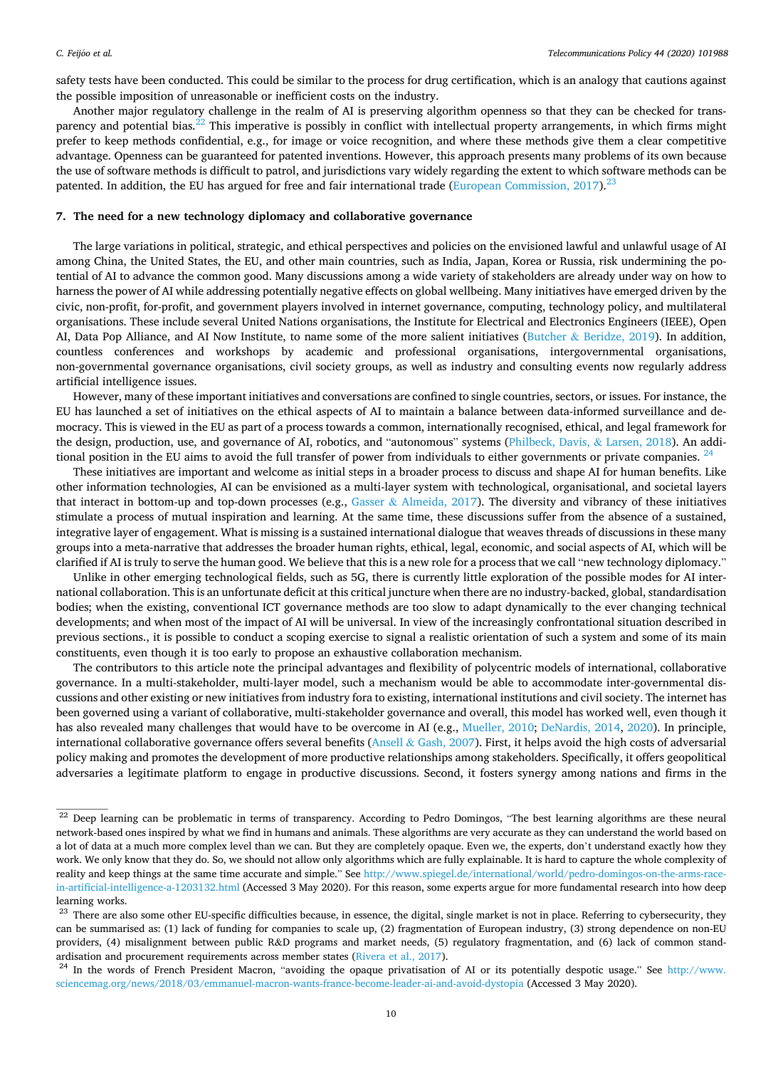safety tests have been conducted. This could be similar to the process for drug certification, which is an analogy that cautions against the possible imposition of unreasonable or inefficient costs on the industry.

Another major regulatory challenge in the realm of AI is preserving algorithm openness so that they can be checked for transparency and potential bias.<sup>22</sup> This imperative is possibly in conflict with intellectual property arrangements, in which firms might prefer to keep methods confidential, e.g., for image or voice recognition, and where these methods give them a clear competitive advantage. Openness can be guaranteed for patented inventions. However, this approach presents many problems of its own because the use of software methods is difficult to patrol, and jurisdictions vary widely regarding the extent to which software methods can be patented. In addition, the EU has argued for free and fair international trade [\(European Commission, 2017\)](#page-12-0).<sup>23</sup>

#### **7. The need for a new technology diplomacy and collaborative governance**

The large variations in political, strategic, and ethical perspectives and policies on the envisioned lawful and unlawful usage of AI among China, the United States, the EU, and other main countries, such as India, Japan, Korea or Russia, risk undermining the potential of AI to advance the common good. Many discussions among a wide variety of stakeholders are already under way on how to harness the power of AI while addressing potentially negative effects on global wellbeing. Many initiatives have emerged driven by the civic, non-profit, for-profit, and government players involved in internet governance, computing, technology policy, and multilateral organisations. These include several United Nations organisations, the Institute for Electrical and Electronics Engineers (IEEE), Open AI, Data Pop Alliance, and AI Now Institute, to name some of the more salient initiatives (Butcher & [Beridze, 2019](#page-12-0)). In addition, countless conferences and workshops by academic and professional organisations, intergovernmental organisations, non-governmental governance organisations, civil society groups, as well as industry and consulting events now regularly address artificial intelligence issues.

However, many of these important initiatives and conversations are confined to single countries, sectors, or issues. For instance, the EU has launched a set of initiatives on the ethical aspects of AI to maintain a balance between data-informed surveillance and democracy. This is viewed in the EU as part of a process towards a common, internationally recognised, ethical, and legal framework for the design, production, use, and governance of AI, robotics, and "autonomous" systems ([Philbeck, Davis,](#page-13-0) & Larsen, 2018). An additional position in the EU aims to avoid the full transfer of power from individuals to either governments or private companies. <sup>24</sup>

These initiatives are important and welcome as initial steps in a broader process to discuss and shape AI for human benefits. Like other information technologies, AI can be envisioned as a multi-layer system with technological, organisational, and societal layers that interact in bottom-up and top-down processes (e.g., Gasser & [Almeida, 2017\)](#page-12-0). The diversity and vibrancy of these initiatives stimulate a process of mutual inspiration and learning. At the same time, these discussions suffer from the absence of a sustained, integrative layer of engagement. What is missing is a sustained international dialogue that weaves threads of discussions in these many groups into a meta-narrative that addresses the broader human rights, ethical, legal, economic, and social aspects of AI, which will be clarified if AI is truly to serve the human good. We believe that this is a new role for a process that we call "new technology diplomacy."

Unlike in other emerging technological fields, such as 5G, there is currently little exploration of the possible modes for AI international collaboration. This is an unfortunate deficit at this critical juncture when there are no industry-backed, global, standardisation bodies; when the existing, conventional ICT governance methods are too slow to adapt dynamically to the ever changing technical developments; and when most of the impact of AI will be universal. In view of the increasingly confrontational situation described in previous sections., it is possible to conduct a scoping exercise to signal a realistic orientation of such a system and some of its main constituents, even though it is too early to propose an exhaustive collaboration mechanism.

The contributors to this article note the principal advantages and flexibility of polycentric models of international, collaborative governance. In a multi-stakeholder, multi-layer model, such a mechanism would be able to accommodate inter-governmental discussions and other existing or new initiatives from industry fora to existing, international institutions and civil society. The internet has been governed using a variant of collaborative, multi-stakeholder governance and overall, this model has worked well, even though it has also revealed many challenges that would have to be overcome in AI (e.g., [Mueller, 2010;](#page-13-0) [DeNardis, 2014](#page-12-0), [2020](#page-12-0)). In principle, international collaborative governance offers several benefits (Ansell & [Gash, 2007](#page-12-0)). First, it helps avoid the high costs of adversarial policy making and promotes the development of more productive relationships among stakeholders. Specifically, it offers geopolitical adversaries a legitimate platform to engage in productive discussions. Second, it fosters synergy among nations and firms in the

<sup>&</sup>lt;sup>22</sup> Deep learning can be problematic in terms of transparency. According to Pedro Domingos, "The best learning algorithms are these neural network-based ones inspired by what we find in humans and animals. These algorithms are very accurate as they can understand the world based on a lot of data at a much more complex level than we can. But they are completely opaque. Even we, the experts, don't understand exactly how they work. We only know that they do. So, we should not allow only algorithms which are fully explainable. It is hard to capture the whole complexity of reality and keep things at the same time accurate and simple." See [http://www.spiegel.de/international/world/pedro-domingos-on-the-arms-race](http://www.spiegel.de/international/world/pedro-domingos-on-the-arms-race-in-artificial-intelligence-a-1203132.html)[in-artificial-intelligence-a-1203132.html](http://www.spiegel.de/international/world/pedro-domingos-on-the-arms-race-in-artificial-intelligence-a-1203132.html) (Accessed 3 May 2020). For this reason, some experts argue for more fundamental research into how deep learning works.<br><sup>23</sup> There are also some other EU-specific difficulties because, in essence, the digital, single market is not in place. Referring to cybersecurity, they

can be summarised as: (1) lack of funding for companies to scale up, (2) fragmentation of European industry, (3) strong dependence on non-EU providers, (4) misalignment between public R&D programs and market needs, (5) regulatory fragmentation, and (6) lack of common stand-ardisation and procurement requirements across member states ([Rivera et al., 2017](#page-13-0)).<br><sup>24</sup> In the words of French President Macron, "avoiding the opaque privatisation of AI or its potentially despotic usage." See http://www

[sciencemag.org/news/2018/03/emmanuel-macron-wants-france-become-leader-ai-and-avoid-dystopia](http://www.sciencemag.org/news/2018/03/emmanuel-macron-wants-france-become-leader-ai-and-avoid-dystopia) (Accessed 3 May 2020).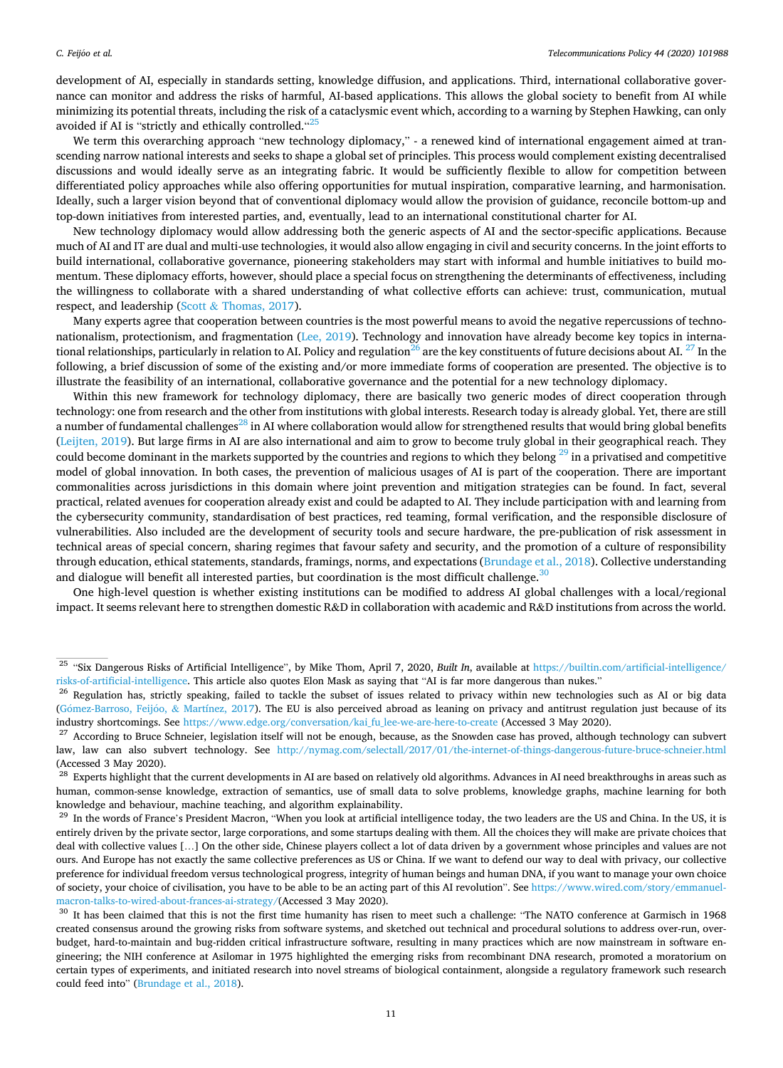development of AI, especially in standards setting, knowledge diffusion, and applications. Third, international collaborative governance can monitor and address the risks of harmful, AI-based applications. This allows the global society to benefit from AI while minimizing its potential threats, including the risk of a cataclysmic event which, according to a warning by Stephen Hawking, can only avoided if AI is "strictly and ethically controlled."<sup>25</sup>

We term this overarching approach "new technology diplomacy," - a renewed kind of international engagement aimed at transcending narrow national interests and seeks to shape a global set of principles. This process would complement existing decentralised discussions and would ideally serve as an integrating fabric. It would be sufficiently flexible to allow for competition between differentiated policy approaches while also offering opportunities for mutual inspiration, comparative learning, and harmonisation. Ideally, such a larger vision beyond that of conventional diplomacy would allow the provision of guidance, reconcile bottom-up and top-down initiatives from interested parties, and, eventually, lead to an international constitutional charter for AI.

New technology diplomacy would allow addressing both the generic aspects of AI and the sector-specific applications. Because much of AI and IT are dual and multi-use technologies, it would also allow engaging in civil and security concerns. In the joint efforts to build international, collaborative governance, pioneering stakeholders may start with informal and humble initiatives to build momentum. These diplomacy efforts, however, should place a special focus on strengthening the determinants of effectiveness, including the willingness to collaborate with a shared understanding of what collective efforts can achieve: trust, communication, mutual respect, and leadership (Scott & [Thomas, 2017\)](#page-13-0).

Many experts agree that cooperation between countries is the most powerful means to avoid the negative repercussions of technonationalism, protectionism, and fragmentation ([Lee, 2019](#page-12-0)). Technology and innovation have already become key topics in international relationships, particularly in relation to AI. Policy and regulation<sup>26</sup> are the key constituents of future decisions about AI. <sup>27</sup> In the following, a brief discussion of some of the existing and/or more immediate forms of cooperation are presented. The objective is to illustrate the feasibility of an international, collaborative governance and the potential for a new technology diplomacy.

Within this new framework for technology diplomacy, there are basically two generic modes of direct cooperation through technology: one from research and the other from institutions with global interests. Research today is already global. Yet, there are still a number of fundamental challenges<sup>28</sup> in AI where collaboration would allow for strengthened results that would bring global benefits [\(Leijten, 2019](#page-12-0)). But large firms in AI are also international and aim to grow to become truly global in their geographical reach. They could become dominant in the markets supported by the countries and regions to which they belong  $^{29}$  in a privatised and competitive model of global innovation. In both cases, the prevention of malicious usages of AI is part of the cooperation. There are important commonalities across jurisdictions in this domain where joint prevention and mitigation strategies can be found. In fact, several practical, related avenues for cooperation already exist and could be adapted to AI. They include participation with and learning from the cybersecurity community, standardisation of best practices, red teaming, formal verification, and the responsible disclosure of vulnerabilities. Also included are the development of security tools and secure hardware, the pre-publication of risk assessment in technical areas of special concern, sharing regimes that favour safety and security, and the promotion of a culture of responsibility through education, ethical statements, standards, framings, norms, and expectations ([Brundage et al., 2018\)](#page-12-0). Collective understanding and dialogue will benefit all interested parties, but coordination is the most difficult challenge.<sup>30</sup>

One high-level question is whether existing institutions can be modified to address AI global challenges with a local/regional impact. It seems relevant here to strengthen domestic R&D in collaboration with academic and R&D institutions from across the world.

<sup>25</sup>"Six Dangerous Risks of Artificial Intelligence", by Mike Thom, April 7, 2020, *Built In*, available at [https://builtin.com/artificial-intelligence/](https://builtin.com/artificial-intelligence/risks-of-artificial-intelligence) [risks-of-artificial-intelligence](https://builtin.com/artificial-intelligence/risks-of-artificial-intelligence). This article also quotes Elon Mask as saying that "AI is far more dangerous than nukes."

 $26$  Regulation has, strictly speaking, failed to tackle the subset of issues related to privacy within new technologies such as AI or big data (Gómez-Barroso, Feijóo, & Martínez, 2017). The EU is also perceived abroad as leaning on privacy and antitrust regulation just because of its

industry shortcomings. See [https://www.edge.org/conversation/kai\\_fu\\_lee-we-are-here-to-create](https://www.edge.org/conversation/kai_fu_lee-we-are-here-to-create) (Accessed 3 May 2020).<br><sup>27</sup> According to Bruce Schneier, legislation itself will not be enough, because, as the Snowden case has law, law can also subvert technology. See <http://nymag.com/selectall/2017/01/the-internet-of-things-dangerous-future-bruce-schneier.html> (Accessed 3 May 2020).<br><sup>28</sup> Experts highlight that the current developments in AI are based on relatively old algorithms. Advances in AI need breakthroughs in areas such as

human, common-sense knowledge, extraction of semantics, use of small data to solve problems, knowledge graphs, machine learning for both knowledge and behaviour, machine teaching, and algorithm explainability.<br><sup>29</sup> In the words of France's President Macron, "When you look at artificial intelligence today, the two leaders are the US and China. In the US, it

entirely driven by the private sector, large corporations, and some startups dealing with them. All the choices they will make are private choices that deal with collective values […] On the other side, Chinese players collect a lot of data driven by a government whose principles and values are not ours. And Europe has not exactly the same collective preferences as US or China. If we want to defend our way to deal with privacy, our collective preference for individual freedom versus technological progress, integrity of human beings and human DNA, if you want to manage your own choice of society, your choice of civilisation, you have to be able to be an acting part of this AI revolution". See [https://www.wired.com/story/emmanuel-](https://www.wired.com/story/emmanuel-macron-talks-to-wired-about-frances-ai-strategy/)

[macron-talks-to-wired-about-frances-ai-strategy/\(](https://www.wired.com/story/emmanuel-macron-talks-to-wired-about-frances-ai-strategy/)Accessed 3 May 2020). 30 It has been claimed that this is not the first time humanity has risen to meet such a challenge: "The NATO conference at Garmisch in 1968 created consensus around the growing risks from software systems, and sketched out technical and procedural solutions to address over-run, overbudget, hard-to-maintain and bug-ridden critical infrastructure software, resulting in many practices which are now mainstream in software engineering; the NIH conference at Asilomar in 1975 highlighted the emerging risks from recombinant DNA research, promoted a moratorium on certain types of experiments, and initiated research into novel streams of biological containment, alongside a regulatory framework such research could feed into" ([Brundage et al., 2018\)](#page-12-0).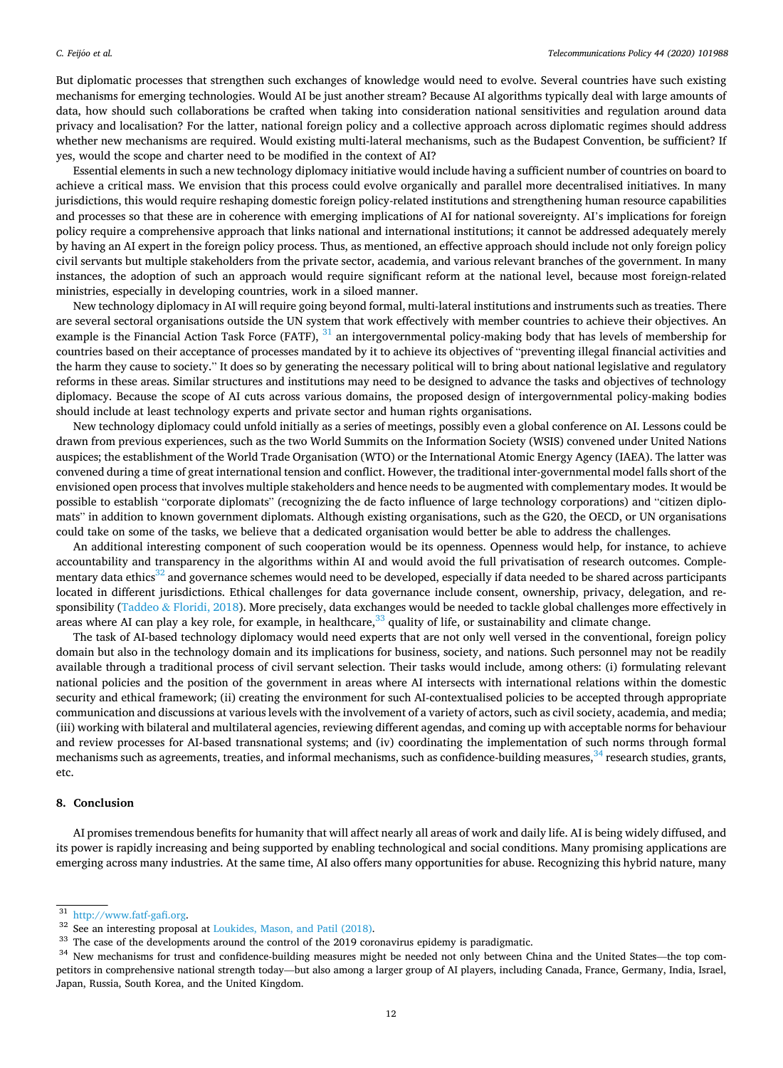But diplomatic processes that strengthen such exchanges of knowledge would need to evolve. Several countries have such existing mechanisms for emerging technologies. Would AI be just another stream? Because AI algorithms typically deal with large amounts of data, how should such collaborations be crafted when taking into consideration national sensitivities and regulation around data privacy and localisation? For the latter, national foreign policy and a collective approach across diplomatic regimes should address whether new mechanisms are required. Would existing multi-lateral mechanisms, such as the Budapest Convention, be sufficient? If yes, would the scope and charter need to be modified in the context of AI?

Essential elements in such a new technology diplomacy initiative would include having a sufficient number of countries on board to achieve a critical mass. We envision that this process could evolve organically and parallel more decentralised initiatives. In many jurisdictions, this would require reshaping domestic foreign policy-related institutions and strengthening human resource capabilities and processes so that these are in coherence with emerging implications of AI for national sovereignty. AI's implications for foreign policy require a comprehensive approach that links national and international institutions; it cannot be addressed adequately merely by having an AI expert in the foreign policy process. Thus, as mentioned, an effective approach should include not only foreign policy civil servants but multiple stakeholders from the private sector, academia, and various relevant branches of the government. In many instances, the adoption of such an approach would require significant reform at the national level, because most foreign-related ministries, especially in developing countries, work in a siloed manner.

New technology diplomacy in AI will require going beyond formal, multi-lateral institutions and instruments such as treaties. There are several sectoral organisations outside the UN system that work effectively with member countries to achieve their objectives. An example is the Financial Action Task Force (FATF),  $31$  an intergovernmental policy-making body that has levels of membership for countries based on their acceptance of processes mandated by it to achieve its objectives of "preventing illegal financial activities and the harm they cause to society." It does so by generating the necessary political will to bring about national legislative and regulatory reforms in these areas. Similar structures and institutions may need to be designed to advance the tasks and objectives of technology diplomacy. Because the scope of AI cuts across various domains, the proposed design of intergovernmental policy-making bodies should include at least technology experts and private sector and human rights organisations.

New technology diplomacy could unfold initially as a series of meetings, possibly even a global conference on AI. Lessons could be drawn from previous experiences, such as the two World Summits on the Information Society (WSIS) convened under United Nations auspices; the establishment of the World Trade Organisation (WTO) or the International Atomic Energy Agency (IAEA). The latter was convened during a time of great international tension and conflict. However, the traditional inter-governmental model falls short of the envisioned open process that involves multiple stakeholders and hence needs to be augmented with complementary modes. It would be possible to establish "corporate diplomats" (recognizing the de facto influence of large technology corporations) and "citizen diplomats" in addition to known government diplomats. Although existing organisations, such as the G20, the OECD, or UN organisations could take on some of the tasks, we believe that a dedicated organisation would better be able to address the challenges.

An additional interesting component of such cooperation would be its openness. Openness would help, for instance, to achieve accountability and transparency in the algorithms within AI and would avoid the full privatisation of research outcomes. Complementary data ethics<sup>32</sup> and governance schemes would need to be developed, especially if data needed to be shared across participants located in different jurisdictions. Ethical challenges for data governance include consent, ownership, privacy, delegation, and re-sponsibility (Taddeo & [Floridi, 2018](#page-13-0)). More precisely, data exchanges would be needed to tackle global challenges more effectively in areas where AI can play a key role, for example, in healthcare, $33$  quality of life, or sustainability and climate change.

The task of AI-based technology diplomacy would need experts that are not only well versed in the conventional, foreign policy domain but also in the technology domain and its implications for business, society, and nations. Such personnel may not be readily available through a traditional process of civil servant selection. Their tasks would include, among others: (i) formulating relevant national policies and the position of the government in areas where AI intersects with international relations within the domestic security and ethical framework; (ii) creating the environment for such AI-contextualised policies to be accepted through appropriate communication and discussions at various levels with the involvement of a variety of actors, such as civil society, academia, and media; (iii) working with bilateral and multilateral agencies, reviewing different agendas, and coming up with acceptable norms for behaviour and review processes for AI-based transnational systems; and (iv) coordinating the implementation of such norms through formal mechanisms such as agreements, treaties, and informal mechanisms, such as confidence-building measures,<sup>34</sup> research studies, grants, etc.

## **8. Conclusion**

AI promises tremendous benefits for humanity that will affect nearly all areas of work and daily life. AI is being widely diffused, and its power is rapidly increasing and being supported by enabling technological and social conditions. Many promising applications are emerging across many industries. At the same time, AI also offers many opportunities for abuse. Recognizing this hybrid nature, many

 $\frac{31}{12}$  <http://www.fatf-gafi.org>.<br>  $\frac{32}{12}$  See an interesting proposal at [Loukides, Mason, and Patil \(2018\).](#page-12-0)<br>  $\frac{32}{12}$  See an interesting proposal at Loukides, Mason, and Patil (2018).<br>  $\frac{33}{12}$  The case of petitors in comprehensive national strength today—but also among a larger group of AI players, including Canada, France, Germany, India, Israel, Japan, Russia, South Korea, and the United Kingdom.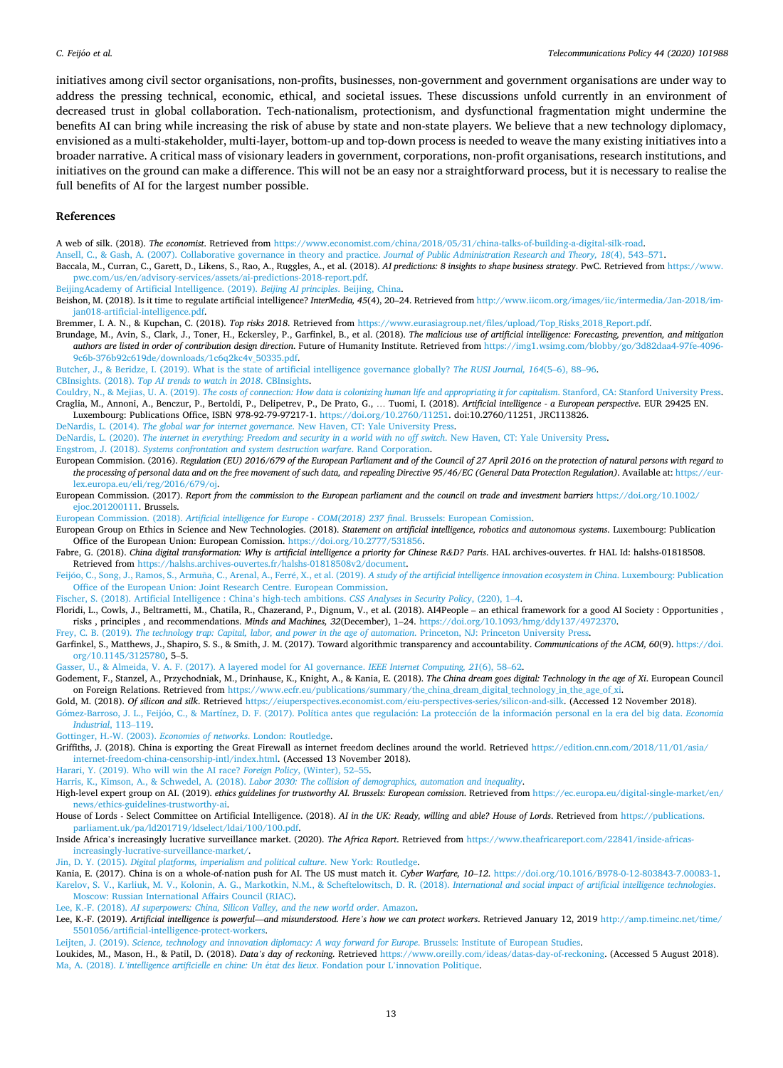<span id="page-12-0"></span>initiatives among civil sector organisations, non-profits, businesses, non-government and government organisations are under way to address the pressing technical, economic, ethical, and societal issues. These discussions unfold currently in an environment of decreased trust in global collaboration. Tech-nationalism, protectionism, and dysfunctional fragmentation might undermine the benefits AI can bring while increasing the risk of abuse by state and non-state players. We believe that a new technology diplomacy, envisioned as a multi-stakeholder, multi-layer, bottom-up and top-down process is needed to weave the many existing initiatives into a broader narrative. A critical mass of visionary leaders in government, corporations, non-profit organisations, research institutions, and initiatives on the ground can make a difference. This will not be an easy nor a straightforward process, but it is necessary to realise the full benefits of AI for the largest number possible.

#### **References**

A web of silk. (2018). *The economist*. Retrieved from <https://www.economist.com/china/2018/05/31/china-talks-of-building-a-digital-silk-road>.

[Ansell, C., & Gash, A. \(2007\). Collaborative governance in theory and practice.](http://refhub.elsevier.com/S0308-5961(20)30080-X/sref2) *Journal of Public Administration Research and Theory, 18*(4), 543–571.

Baccala, M., Curran, C., Garett, D., Likens, S., Rao, A., Ruggles, A., et al. (2018). *AI predictions: 8 insights to shape business strategy*. PwC. Retrieved from [https://www.](https://www.pwc.com/us/en/advisory-services/assets/ai-predictions-2018-report.pdf) [pwc.com/us/en/advisory-services/assets/ai-predictions-2018-report.pdf](https://www.pwc.com/us/en/advisory-services/assets/ai-predictions-2018-report.pdf).

[BeijingAcademy of Artificial Intelligence. \(2019\).](http://refhub.elsevier.com/S0308-5961(20)30080-X/sref4) *Beijing AI principles*. Beijing, China.

Beishon, M. (2018). Is it time to regulate artificial intelligence? *InterMedia, 45*(4), 20–24. Retrieved from [http://www.iicom.org/images/iic/intermedia/Jan-2018/im](http://www.iicom.org/images/iic/intermedia/Jan-2018/im-jan018-artificial-intelligence.pdf)[jan018-artificial-intelligence.pdf](http://www.iicom.org/images/iic/intermedia/Jan-2018/im-jan018-artificial-intelligence.pdf).

Bremmer, I. A. N., & Kupchan, C. (2018). *Top risks 2018*. Retrieved from [https://www.eurasiagroup.net/files/upload/Top\\_Risks\\_2018\\_Report.pdf.](https://www.eurasiagroup.net/files/upload/Top_Risks_2018_Report.pdf)

Brundage, M., Avin, S., Clark, J., Toner, H., Eckersley, P., Garfinkel, B., et al. (2018). *The malicious use of artificial intelligence: Forecasting, prevention, and mitigation*  authors are listed in order of contribution design direction. Future of Humanity Institute. Retrieved from [https://img1.wsimg.com/blobby/go/3d82daa4-97fe-4096-](https://img1.wsimg.com/blobby/go/3d82daa4-97fe-4096-9c6b-376b92c619de/downloads/1c6q2kc4v_50335.pdf) [9c6b-376b92c619de/downloads/1c6q2kc4v\\_50335.pdf.](https://img1.wsimg.com/blobby/go/3d82daa4-97fe-4096-9c6b-376b92c619de/downloads/1c6q2kc4v_50335.pdf)

[Butcher, J., & Beridze, I. \(2019\). What is the state of artificial intelligence governance globally?](http://refhub.elsevier.com/S0308-5961(20)30080-X/sref8) *The RUSI Journal, 164*(5–6), 88–96.

CBInsights. (2018). *[Top AI trends to watch in 2018](http://refhub.elsevier.com/S0308-5961(20)30080-X/sref9)*. CBInsights.

Couldry, N., & Mejias, U. A. (2019). *[The costs of connection: How data is colonizing human life and appropriating it for capitalism](http://refhub.elsevier.com/S0308-5961(20)30080-X/sref10)*. Stanford, CA: Stanford University Press. Craglia, M., Annoni, A., Benczur, P., Bertoldi, P., Delipetrev, P., De Prato, G., … Tuomi, I. (2018). *Artificial intelligence - a European perspective*. EUR 29425 EN. Luxembourg: Publications Office, ISBN 978-92-79-97217-1.<https://doi.org/10.2760/11251>. doi:10.2760/11251, JRC113826.

DeNardis, L. (2014). *The global war for internet governance*[. New Haven, CT: Yale University Press.](http://refhub.elsevier.com/S0308-5961(20)30080-X/sref12)

DeNardis, L. (2020). *[The internet in everything: Freedom and security in a world with no off switch](http://refhub.elsevier.com/S0308-5961(20)30080-X/sref13)*. New Haven, CT: Yale University Press.

Engstrom, J. (2018). *[Systems confrontation and system destruction warfare](http://refhub.elsevier.com/S0308-5961(20)30080-X/sref14)*. Rand Corporation.

- European Commision. (2016). *Regulation (EU) 2016/679 of the European Parliament and of the Council of 27 April 2016 on the protection of natural persons with regard to the processing of personal data and on the free movement of such data, and repealing Directive 95/46/EC (General Data Protection Regulation)*. Available at: [https://eur](https://eur-lex.europa.eu/eli/reg/2016/679/oj)[lex.europa.eu/eli/reg/2016/679/oj](https://eur-lex.europa.eu/eli/reg/2016/679/oj).
- European Commission. (2017). *Report from the commission to the European parliament and the council on trade and investment barriers https://doi.org/10.1002/* [ejoc.201200111](https://doi.org/10.1002/ejoc.201200111). Brussels.

European Commission. (2018). *[Artificial intelligence for Europe - COM\(2018\) 237 final](http://refhub.elsevier.com/S0308-5961(20)30080-X/sref17)*. Brussels: European Comission.

European Group on Ethics in Science and New Technologies. (2018). *Statement on artificial intelligence, robotics and autonomous systems*. Luxembourg: Publication Office of the European Union: European Comission. https://doi.org/10.2777/53185

Fabre, G. (2018). *China digital transformation: Why is artificial intelligence a priority for Chinese R&D? Paris*. HAL archives-ouvertes. fr HAL Id: halshs-01818508. Retrieved from <https://halshs.archives-ouvertes.fr/halshs-01818508v2/document>.

Feijóo, C., Song, J., Ramos, S., Armuña, C., Arenal, A., Ferré, X., et al. (2019). *[A study of the artificial intelligence innovation ecosystem in China](http://refhub.elsevier.com/S0308-5961(20)30080-X/sref20)*. Luxembourg: Publication [Office of the European Union: Joint Research Centre. European Commission](http://refhub.elsevier.com/S0308-5961(20)30080-X/sref20).

[Fischer, S. \(2018\). Artificial Intelligence : China](http://refhub.elsevier.com/S0308-5961(20)30080-X/sref21)'s high-tech ambitions. *CSS Analyses in Security Policy*, (220), 1–4.

Floridi, L., Cowls, J., Beltrametti, M., Chatila, R., Chazerand, P., Dignum, V., et al. (2018). AI4People - an ethical framework for a good AI Society : Opportunities , risks , principles , and recommendations. *Minds and Machines, 32*(December), 1–24. [https://doi.org/10.1093/hmg/ddy137/4972370.](https://doi.org/10.1093/hmg/ddy137/4972370)

Frey, C. B. (2019). *[The technology trap: Capital, labor, and power in the age of automation](http://refhub.elsevier.com/S0308-5961(20)30080-X/sref23)*. Princeton, NJ: Princeton University Press.

Garfinkel, S., Matthews, J., Shapiro, S. S., & Smith, J. M. (2017). Toward algorithmic transparency and accountability. Communications of the ACM, 60(9). [https://doi.](https://doi.org/10.1145/3125780) [org/10.1145/3125780,](https://doi.org/10.1145/3125780) 5–5.

[Gasser, U., & Almeida, V. A. F. \(2017\). A layered model for AI governance.](http://refhub.elsevier.com/S0308-5961(20)30080-X/sref25) *IEEE Internet Computing, 21*(6), 58–62.

Godement, F., Stanzel, A., Przychodniak, M., Drinhause, K., Knight, A., & Kania, E. (2018). *The China dream goes digital: Technology in the age of Xi*. European Council on Foreign Relations. Retrieved from [https://www.ecfr.eu/publications/summary/the\\_china\\_dream\\_digital\\_technology\\_in\\_the\\_age\\_of\\_xi](https://www.ecfr.eu/publications/summary/the_china_dream_digital_technology_in_the_age_of_xi).

- Gold, M. (2018). *Of silicon and silk*. Retrieved <https://eiuperspectives.economist.com/eiu-perspectives-series/silicon-and-silk>. (Accessed 12 November 2018).
- Gómez-Barroso, J. L., Feijóo, C., & Martínez, D. F. (2017). Política antes que regulación: La protección de la información personal en la era del big data. *Economia [Industrial](http://refhub.elsevier.com/S0308-5961(20)30080-X/sref28)*, 113–119.

[Gottinger, H.-W. \(2003\).](http://refhub.elsevier.com/S0308-5961(20)30080-X/sref29) *Economies of networks*. London: Routledge.

- Griffiths, J. (2018). China is exporting the Great Firewall as internet freedom declines around the world. Retrieved [https://edition.cnn.com/2018/11/01/asia/](https://edition.cnn.com/2018/11/01/asia/internet-freedom-china-censorship-intl/index.html)  [internet-freedom-china-censorship-intl/index.html](https://edition.cnn.com/2018/11/01/asia/internet-freedom-china-censorship-intl/index.html). (Accessed 13 November 2018).
- [Harari, Y. \(2019\). Who will win the AI race?](http://refhub.elsevier.com/S0308-5961(20)30080-X/sref31) *Foreign Policy*, (Winter), 52–55.

Harris, K., Kimson, A., & Schwedel, A. (2018). *[Labor 2030: The collision of demographics, automation and inequality](http://refhub.elsevier.com/S0308-5961(20)30080-X/sref32)*.

High-level expert group on AI. (2019). *ethics guidelines for trustworthy AI. Brussels: European comission*. Retrieved from [https://ec.europa.eu/digital-single-market/en/](https://ec.europa.eu/digital-single-market/en/news/ethics-guidelines-trustworthy-ai) [news/ethics-guidelines-trustworthy-ai.](https://ec.europa.eu/digital-single-market/en/news/ethics-guidelines-trustworthy-ai)

House of Lords - Select Committee on Artificial Intelligence. (2018). *AI in the UK: Ready, willing and able? House of Lords*. Retrieved from [https://publications.](https://publications.parliament.uk/pa/ld201719/ldselect/ldai/100/100.pdf) [parliament.uk/pa/ld201719/ldselect/ldai/100/100.pdf.](https://publications.parliament.uk/pa/ld201719/ldselect/ldai/100/100.pdf)

Inside Africa's increasingly lucrative surveillance market. (2020). *The Africa Report*. Retrieved from [https://www.theafricareport.com/22841/inside-africas](https://www.theafricareport.com/22841/inside-africas-increasingly-lucrative-surveillance-market/)[increasingly-lucrative-surveillance-market/.](https://www.theafricareport.com/22841/inside-africas-increasingly-lucrative-surveillance-market/)

Jin, D. Y. (2015). *[Digital platforms, imperialism and political culture](http://refhub.elsevier.com/S0308-5961(20)30080-X/sref36)*. New York: Routledge.

Kania, E. (2017). China is on a whole-of-nation push for AI. The US must match it. *Cyber Warfare, 10*–*12*. <https://doi.org/10.1016/B978-0-12-803843-7.00083-1>.

Karelov, S. V., Karliuk, M. V., Kolonin, A. G., Markotkin, N.М., & Scheftelowitsch, D. R. (2018). *[International and social impact of artificial intelligence technologies](http://refhub.elsevier.com/S0308-5961(20)30080-X/sref38)*. [Moscow: Russian International Affairs Council \(RIAC\)](http://refhub.elsevier.com/S0308-5961(20)30080-X/sref38).

Lee, K.-F. (2018). *[AI superpowers: China, Silicon Valley, and the new world order](http://refhub.elsevier.com/S0308-5961(20)30080-X/sref39)*. Amazon.

Lee, K.-F. (2019). *Artificial intelligence is powerful*—*and misunderstood. Here's how we can protect workers*. Retrieved January 12, 2019 [http://amp.timeinc.net/time/](http://amp.timeinc.net/time/5501056/artificial-intelligence-protect-workers) [5501056/artificial-intelligence-protect-workers](http://amp.timeinc.net/time/5501056/artificial-intelligence-protect-workers).

Leijten, J. (2019). *[Science, technology and innovation diplomacy: A way forward for Europe](http://refhub.elsevier.com/S0308-5961(20)30080-X/sref41)*. Brussels: Institute of European Studies.

Loukides, M., Mason, H., & Patil, D. (2018). *Data's day of reckoning*. Retrieved<https://www.oreilly.com/ideas/datas-day-of-reckoning>. (Accessed 5 August 2018). Ma, A. (2018). *L'[intelligence artificielle en chine: Un](http://refhub.elsevier.com/S0308-5961(20)30080-X/sref43)* �*etat des lieux*. Fondation pour L'innovation Politique.